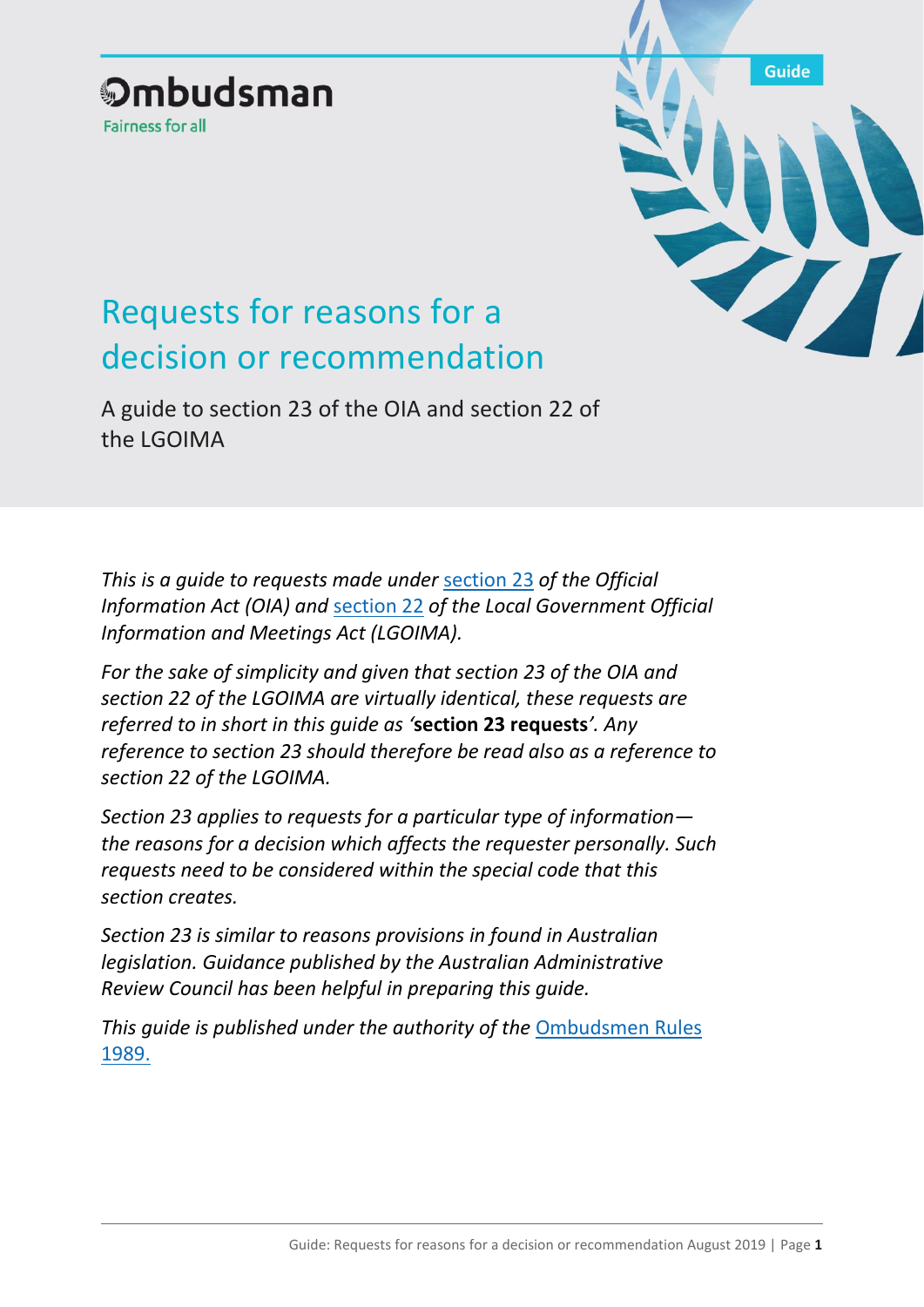# **Ombudsman Fairness for all**

**Guide** 

# Requests for reasons for a decision or recommendation

A guide to section 23 of the OIA and section 22 of the LGOIMA

*This is a guide to requests made under* [section 23](http://legislation.govt.nz/act/public/1982/0156/latest/DLM65628.html?search=ts_act%40bill%40regulation%40deemedreg_official+information_resel_25_a&p=1) *of the Official Information Act (OIA) and* [section 22](http://legislation.govt.nz/act/public/1987/0174/latest/DLM123017.html?search=ts_act%40bill%40regulation%40deemedreg_official+information_resel_25_a&p=1) *of the Local Government Official Information and Meetings Act (LGOIMA).* 

*For the sake of simplicity and given that section 23 of the OIA and section 22 of the LGOIMA are virtually identical, these requests are referred to in short in this guide as '***section 23 requests***'. Any reference to section 23 should therefore be read also as a reference to section 22 of the LGOIMA.*

*Section 23 applies to requests for a particular type of information the reasons for a decision which affects the requester personally. Such requests need to be considered within the special code that this section creates.*

*Section 23 is similar to reasons provisions in found in Australian legislation. Guidance published by the Australian Administrative Review Council has been helpful in preparing this guide.*

*This guide is published under the authority of the* [Ombudsmen Rules](http://legislation.govt.nz/regulation/public/1989/0064/latest/DLM129834.html?src=qs)  [1989.](http://legislation.govt.nz/regulation/public/1989/0064/latest/DLM129834.html?src=qs)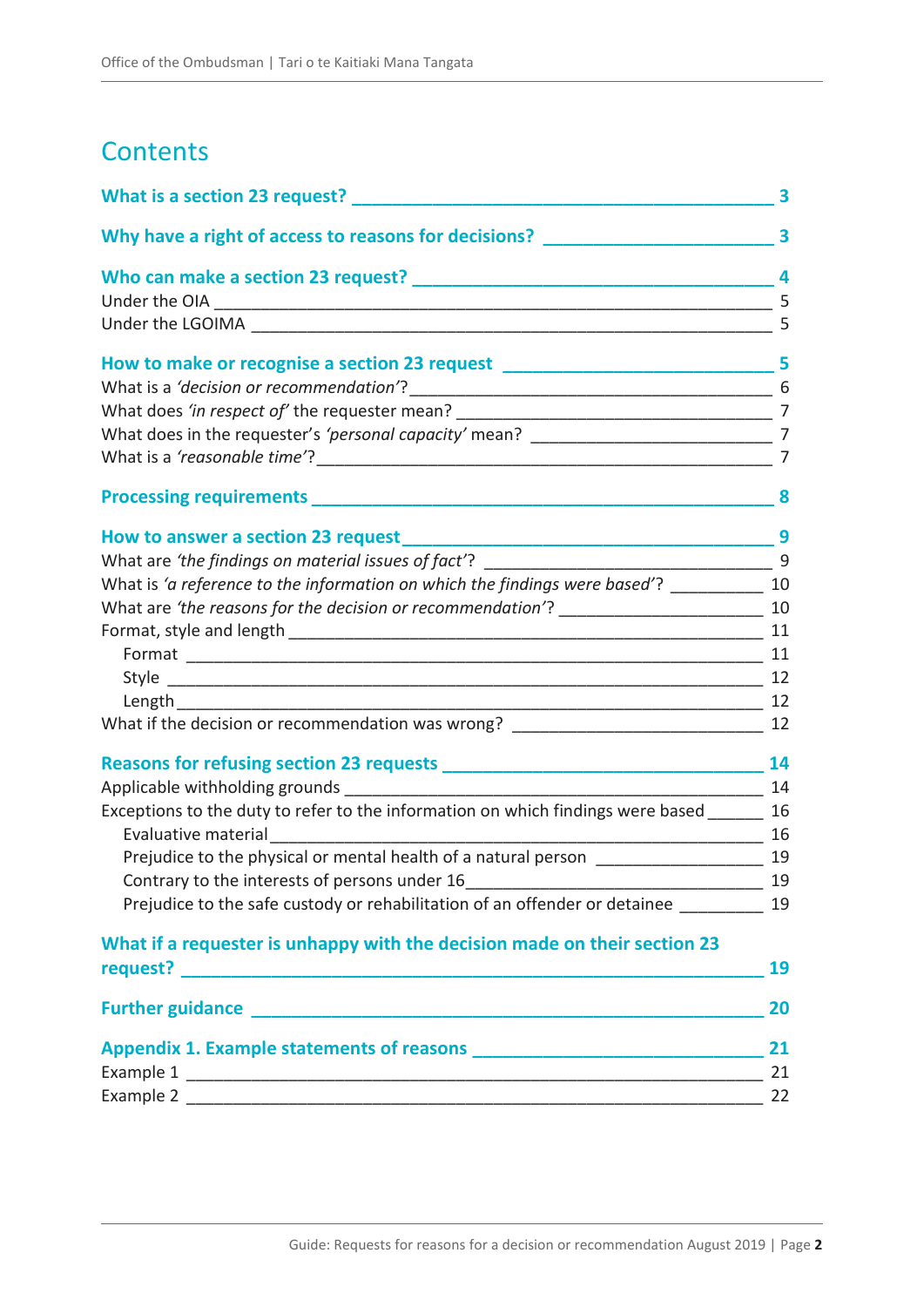# **Contents**

|                                                                                           | 3              |
|-------------------------------------------------------------------------------------------|----------------|
| Why have a right of access to reasons for decisions? ___________________________          | $\mathbf{3}$   |
|                                                                                           | 4              |
|                                                                                           | 5              |
|                                                                                           | 5              |
| How to make or recognise a section 23 request ___________________________________ 5       |                |
|                                                                                           |                |
|                                                                                           |                |
|                                                                                           |                |
|                                                                                           | $\overline{7}$ |
|                                                                                           |                |
|                                                                                           |                |
|                                                                                           |                |
| What is 'a reference to the information on which the findings were based'? ___________ 10 |                |
|                                                                                           |                |
|                                                                                           |                |
|                                                                                           |                |
|                                                                                           |                |
|                                                                                           |                |
| What if the decision or recommendation was wrong? _______________________________ 12      |                |
|                                                                                           | 14             |
|                                                                                           |                |
| Exceptions to the duty to refer to the information on which findings were based ______ 16 |                |
| Evaluative material                                                                       |                |
|                                                                                           |                |
| Contrary to the interests of persons under 16                                             | 19             |
| Prejudice to the safe custody or rehabilitation of an offender or detainee                | 19             |
| What if a requester is unhappy with the decision made on their section 23                 |                |
|                                                                                           | 19             |
|                                                                                           | 20             |
|                                                                                           | 21             |
|                                                                                           | 21             |
|                                                                                           | 22             |
|                                                                                           |                |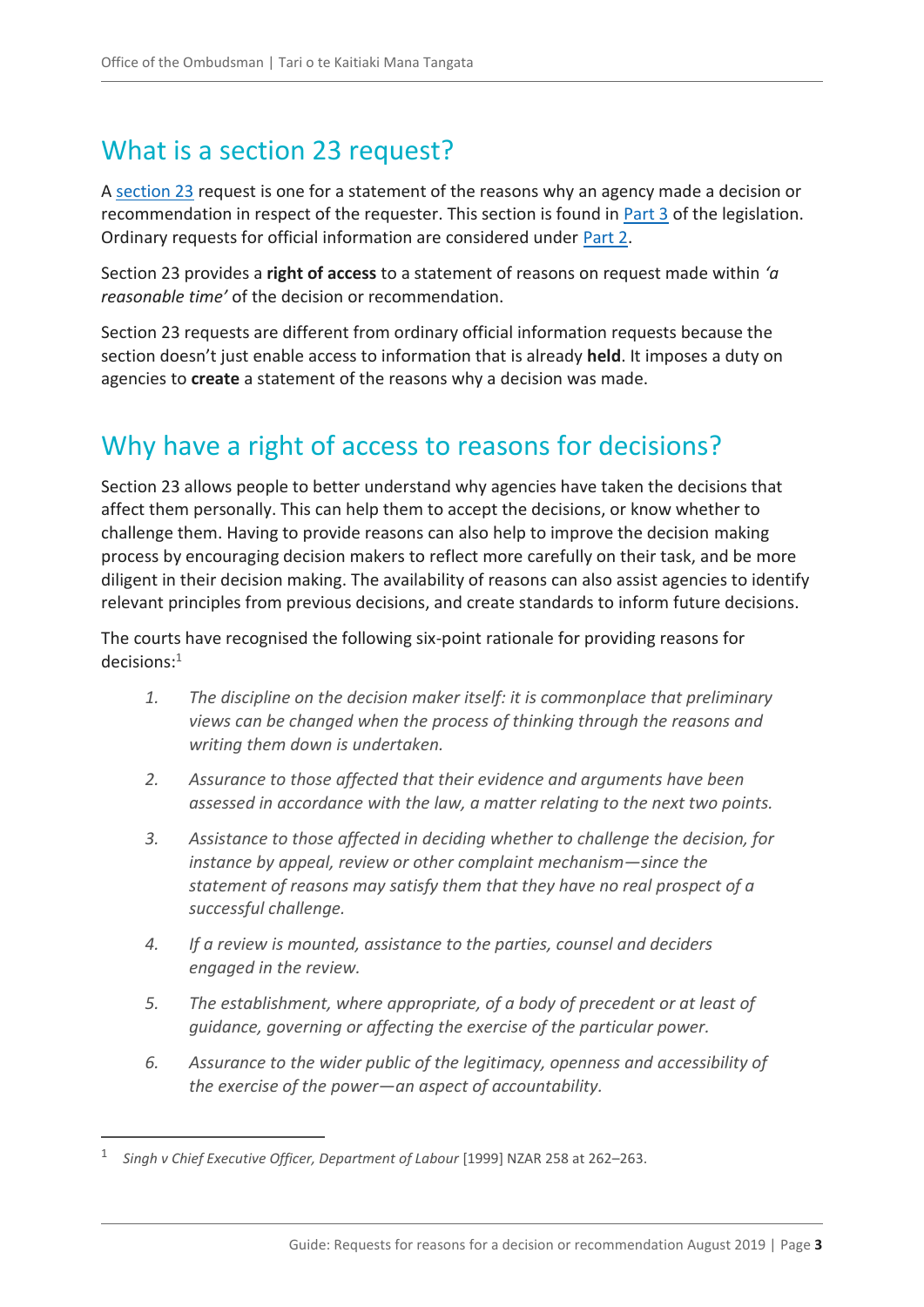# <span id="page-2-0"></span>What is a section 23 request?

A [section 23](http://legislation.govt.nz/act/public/1982/0156/latest/DLM65628.html?search=ts_act%40bill%40regulation%40deemedreg_official+information_resel_25_a&p=1) request is one for a statement of the reasons why an agency made a decision or recommendation in respect of the requester. This section is found in [Part 3](http://legislation.govt.nz/act/public/1982/0156/latest/DLM65611.html?search=ts_act%40bill%40regulation%40deemedreg_official+information_resel_25_a&p=1) of the legislation. Ordinary requests for official information are considered under [Part](http://legislation.govt.nz/act/public/1982/0156/latest/DLM65381.html?search=ts_act%40bill%40regulation%40deemedreg_official+information_resel_25_a&p=1) 2.

Section 23 provides a **right of access** to a statement of reasons on request made within *'a reasonable time'* of the decision or recommendation.

Section 23 requests are different from ordinary official information requests because the section doesn't just enable access to information that is already **held**. It imposes a duty on agencies to **create** a statement of the reasons why a decision was made.

# <span id="page-2-1"></span>Why have a right of access to reasons for decisions?

Section 23 allows people to better understand why agencies have taken the decisions that affect them personally. This can help them to accept the decisions, or know whether to challenge them. Having to provide reasons can also help to improve the decision making process by encouraging decision makers to reflect more carefully on their task, and be more diligent in their decision making. The availability of reasons can also assist agencies to identify relevant principles from previous decisions, and create standards to inform future decisions.

The courts have recognised the following six-point rationale for providing reasons for decisions:<sup>1</sup>

- *1. The discipline on the decision maker itself: it is commonplace that preliminary views can be changed when the process of thinking through the reasons and writing them down is undertaken.*
- *2. Assurance to those affected that their evidence and arguments have been assessed in accordance with the law, a matter relating to the next two points.*
- *3. Assistance to those affected in deciding whether to challenge the decision, for instance by appeal, review or other complaint mechanism—since the statement of reasons may satisfy them that they have no real prospect of a successful challenge.*
- *4. If a review is mounted, assistance to the parties, counsel and deciders engaged in the review.*
- *5. The establishment, where appropriate, of a body of precedent or at least of guidance, governing or affecting the exercise of the particular power.*
- *6. Assurance to the wider public of the legitimacy, openness and accessibility of the exercise of the power—an aspect of accountability.*

<sup>1</sup> *Singh v Chief Executive Officer, Department of Labour* [1999] NZAR 258 at 262–263.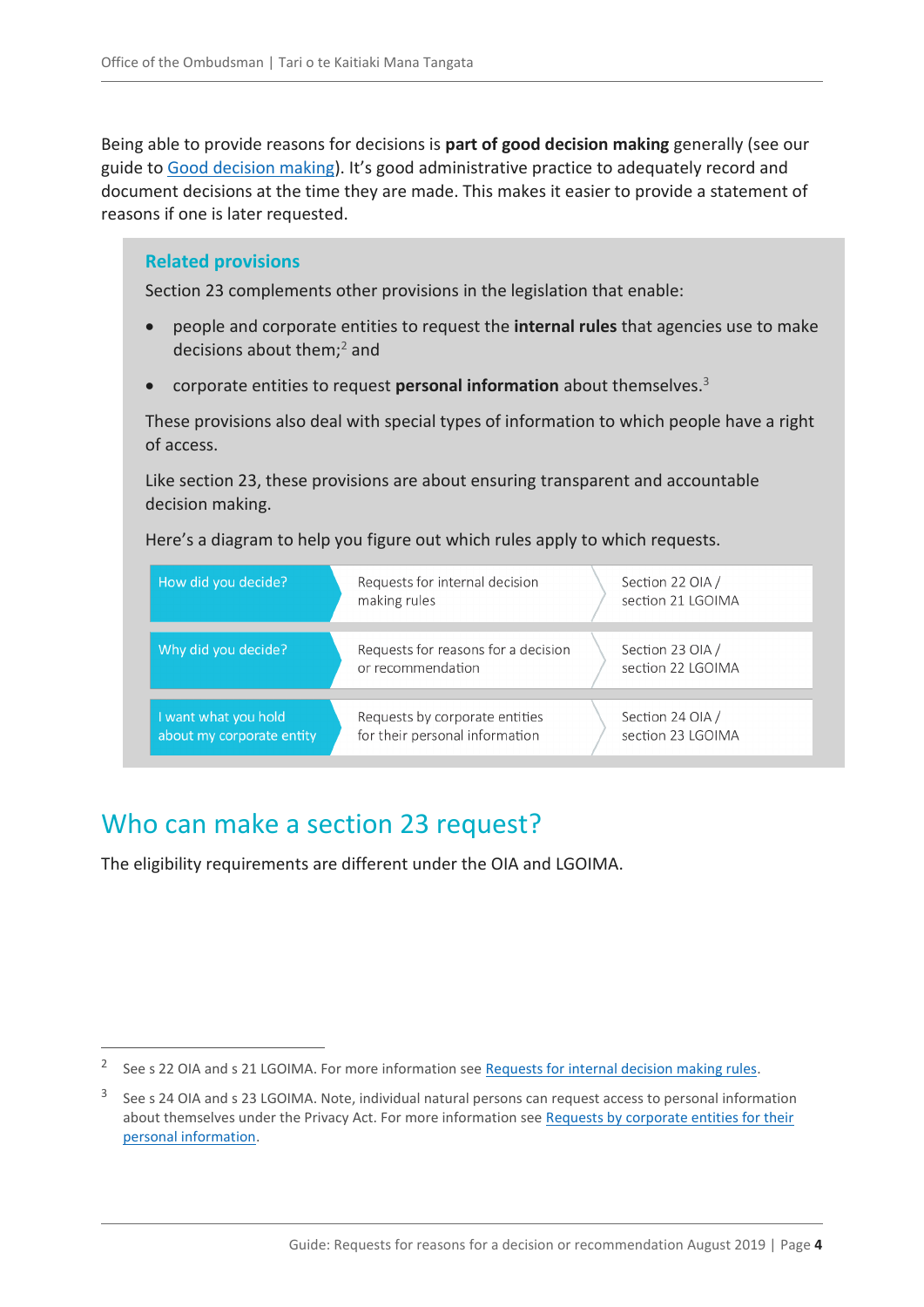Being able to provide reasons for decisions is **part of good decision making** generally (see our guide to [Good decision making\)](https://ombudsman.parliament.nz/resources/good-decision-making). It's good administrative practice to adequately record and document decisions at the time they are made. This makes it easier to provide a statement of reasons if one is later requested.

#### **Related provisions**

Section 23 complements other provisions in the legislation that enable:

- people and corporate entities to request the **internal rules** that agencies use to make decisions about them;<sup>2</sup> and
- corporate entities to request **personal information** about themselves. 3

These provisions also deal with special types of information to which people have a right of access.

Like section 23, these provisions are about ensuring transparent and accountable decision making.

Here's a diagram to help you figure out which rules apply to which requests.

| How did you decide?                               | Requests for internal decision<br>making rules                   | Section 22 OIA /<br>section 21 LGOIMA |  |
|---------------------------------------------------|------------------------------------------------------------------|---------------------------------------|--|
|                                                   |                                                                  |                                       |  |
| Why did you decide?                               | Requests for reasons for a decision<br>or recommendation         | Section 23 OIA /<br>section 22 LGOIMA |  |
|                                                   |                                                                  |                                       |  |
| I want what you hold<br>about my corporate entity | Requests by corporate entities<br>for their personal information | Section 24 OIA /<br>section 23 LGOIMA |  |

# <span id="page-3-0"></span>Who can make a section 23 request?

 $\overline{a}$ 

The eligibility requirements are different under the OIA and LGOIMA.

<sup>&</sup>lt;sup>2</sup> See s 22 OIA and s 21 LGOIMA. For more information see [Requests for internal decision making rules.](https://ombudsman.parliament.nz/resources/requests-internal-decision-making-rules-guide-section-22-oia-and-section-21-lgoima)

<sup>3</sup> See s 24 OIA and s 23 LGOIMA. Note, individual natural persons can request access to personal information about themselves under the Privacy Act. For more information see [Requests by corporate entities for their](https://ombudsman.parliament.nz/resources/requests-corporate-entities-their-personal-information-guide-part-4-oia-and-lgoima)  [personal information.](https://ombudsman.parliament.nz/resources/requests-corporate-entities-their-personal-information-guide-part-4-oia-and-lgoima)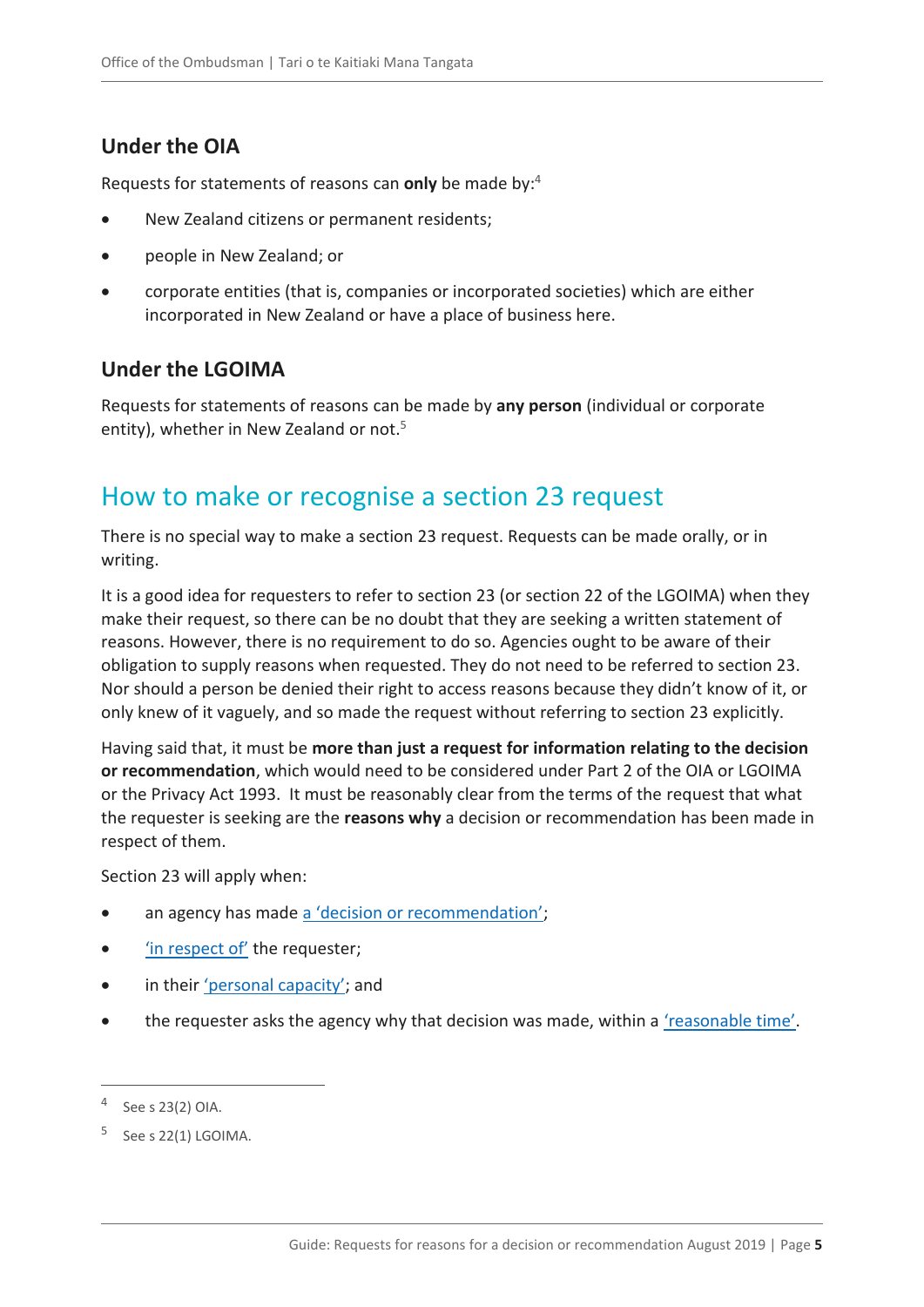# <span id="page-4-0"></span>**Under the OIA**

Requests for statements of reasons can **only** be made by:<sup>4</sup>

- New Zealand citizens or permanent residents;
- people in New Zealand; or
- corporate entities (that is, companies or incorporated societies) which are either incorporated in New Zealand or have a place of business here.

## <span id="page-4-1"></span>**Under the LGOIMA**

Requests for statements of reasons can be made by **any person** (individual or corporate entity), whether in New Zealand or not.<sup>5</sup>

# <span id="page-4-2"></span>How to make or recognise a section 23 request

There is no special way to make a section 23 request. Requests can be made orally, or in writing.

It is a good idea for requesters to refer to section 23 (or section 22 of the LGOIMA) when they make their request, so there can be no doubt that they are seeking a written statement of reasons. However, there is no requirement to do so. Agencies ought to be aware of their obligation to supply reasons when requested. They do not need to be referred to section 23. Nor should a person be denied their right to access reasons because they didn't know of it, or only knew of it vaguely, and so made the request without referring to section 23 explicitly.

Having said that, it must be **more than just a request for information relating to the decision or recommendation**, which would need to be considered under Part 2 of the OIA or LGOIMA or the Privacy Act 1993. It must be reasonably clear from the terms of the request that what the requester is seeking are the **reasons why** a decision or recommendation has been made in respect of them.

Section 23 will apply when:

- an agency has made [a 'decision or recommendation'](#page-5-0);
- 'in respect of' [the requester;](#page-6-0)
- in their ['personal capacity'](#page-6-1); and
- the requester asks the agency why that decision was made, within a ['reasonable time'](#page-6-2).

<sup>4</sup> See s 23(2) OIA.

 $5$  See s 22(1) LGOIMA.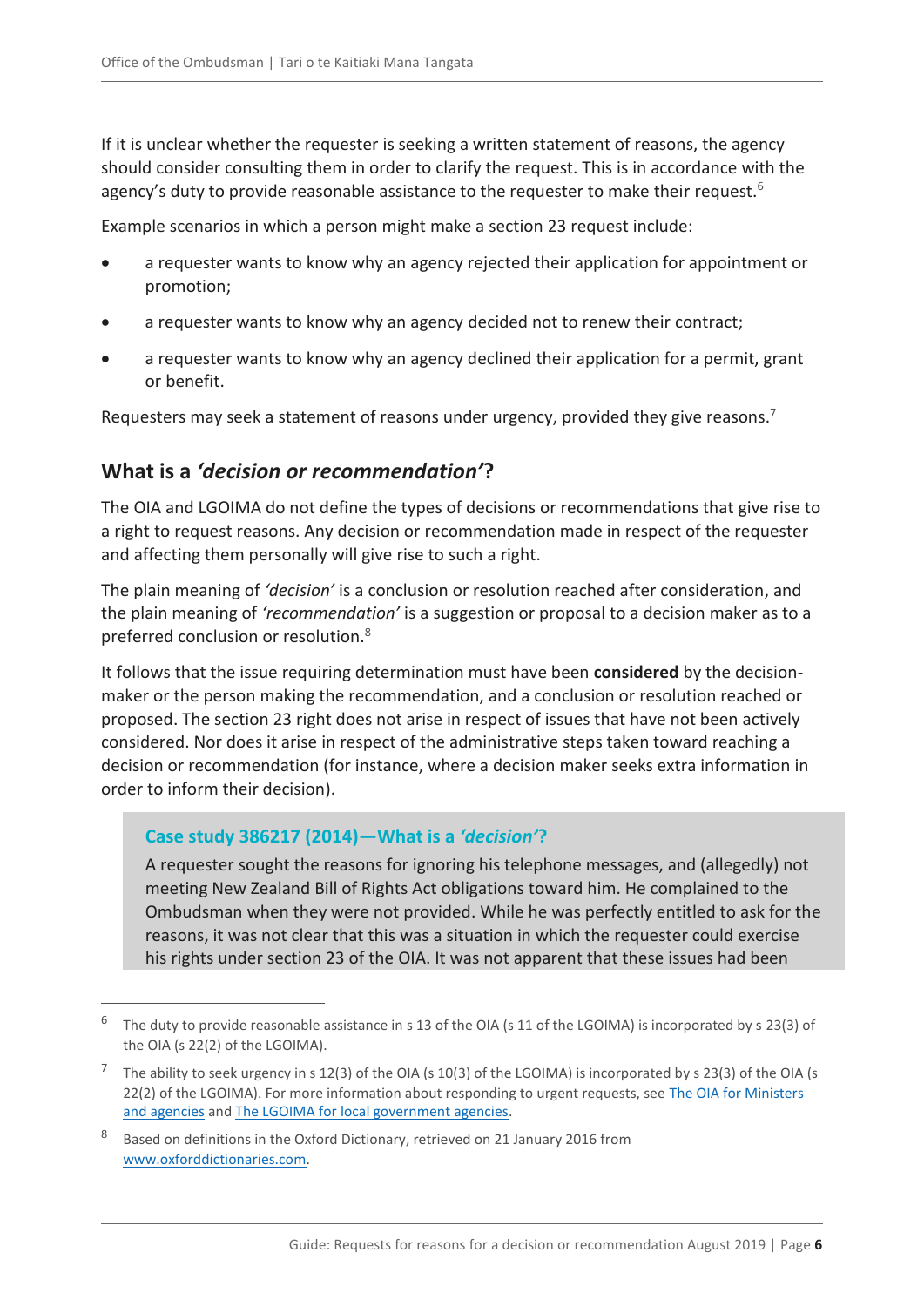If it is unclear whether the requester is seeking a written statement of reasons, the agency should consider consulting them in order to clarify the request. This is in accordance with the agency's duty to provide reasonable assistance to the requester to make their request.<sup>6</sup>

Example scenarios in which a person might make a section 23 request include:

- a requester wants to know why an agency rejected their application for appointment or promotion;
- a requester wants to know why an agency decided not to renew their contract;
- a requester wants to know why an agency declined their application for a permit, grant or benefit.

Requesters may seek a statement of reasons under urgency, provided they give reasons.<sup>7</sup>

### <span id="page-5-0"></span>**What is a** *'decision or recommendation'***?**

The OIA and LGOIMA do not define the types of decisions or recommendations that give rise to a right to request reasons. Any decision or recommendation made in respect of the requester and affecting them personally will give rise to such a right.

The plain meaning of *'decision'* is a conclusion or resolution reached after consideration, and the plain meaning of *'recommendation'* is a suggestion or proposal to a decision maker as to a preferred conclusion or resolution.<sup>8</sup>

It follows that the issue requiring determination must have been **considered** by the decisionmaker or the person making the recommendation, and a conclusion or resolution reached or proposed. The section 23 right does not arise in respect of issues that have not been actively considered. Nor does it arise in respect of the administrative steps taken toward reaching a decision or recommendation (for instance, where a decision maker seeks extra information in order to inform their decision).

#### **Case study 386217 (2014)—What is a** *'decision'***?**

 $\overline{a}$ 

A requester sought the reasons for ignoring his telephone messages, and (allegedly) not meeting New Zealand Bill of Rights Act obligations toward him. He complained to the Ombudsman when they were not provided. While he was perfectly entitled to ask for the reasons, it was not clear that this was a situation in which the requester could exercise his rights under section 23 of the OIA. It was not apparent that these issues had been

 $^6$  The duty to provide reasonable assistance in s 13 of the OIA (s 11 of the LGOIMA) is incorporated by s 23(3) of the OIA (s 22(2) of the LGOIMA).

<sup>&</sup>lt;sup>7</sup> The ability to seek urgency in s 12(3) of the OIA (s 10(3) of the LGOIMA) is incorporated by s 23(3) of the OIA (s 22(2) of the LGOIMA). For more information about responding to urgent requests, see [The OIA for Ministers](https://ombudsman.parliament.nz/resources/oia-ministers-and-agencies-guide-processing-official-information-requests)  [and agencies](https://ombudsman.parliament.nz/resources/oia-ministers-and-agencies-guide-processing-official-information-requests) and [The LGOIMA for local government agencies.](https://ombudsman.parliament.nz/resources/lgoima-local-government-agencies-guide-processing-requests-and-conducting-meetings)

<sup>&</sup>lt;sup>8</sup> Based on definitions in the Oxford Dictionary, retrieved on 21 January 2016 from [www.oxforddictionaries.com.](http://www.oxforddictionaries.com/)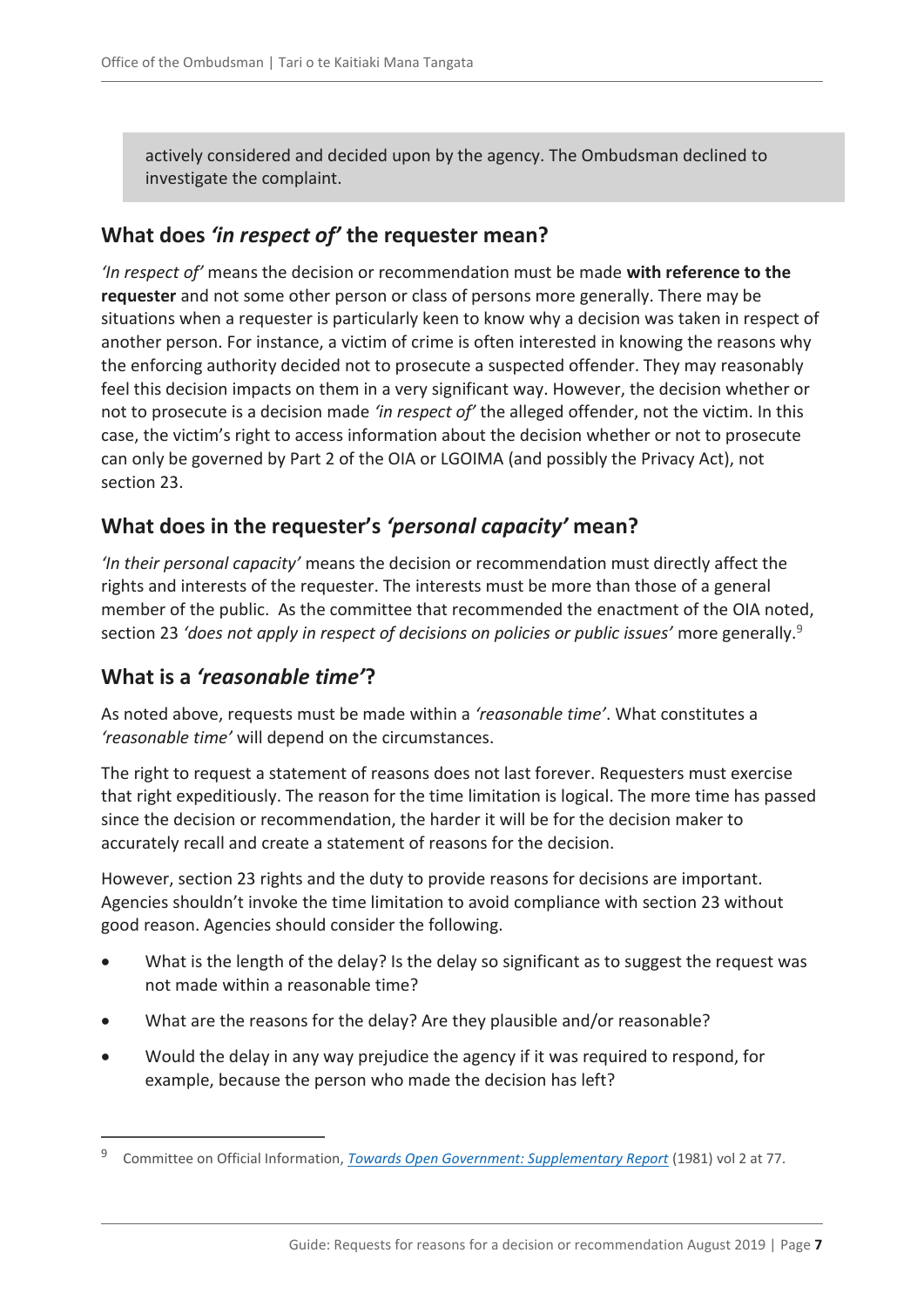actively considered and decided upon by the agency. The Ombudsman declined to investigate the complaint.

# <span id="page-6-0"></span>**What does** *'in respect of'* **the requester mean?**

*'In respect of'* means the decision or recommendation must be made **with reference to the requester** and not some other person or class of persons more generally. There may be situations when a requester is particularly keen to know why a decision was taken in respect of another person. For instance, a victim of crime is often interested in knowing the reasons why the enforcing authority decided not to prosecute a suspected offender. They may reasonably feel this decision impacts on them in a very significant way. However, the decision whether or not to prosecute is a decision made *'in respect of'* the alleged offender, not the victim. In this case, the victim's right to access information about the decision whether or not to prosecute can only be governed by Part 2 of the OIA or LGOIMA (and possibly the Privacy Act), not section 23.

## <span id="page-6-1"></span>**What does in the requester's** *'personal capacity'* **mean?**

*'In their personal capacity'* means the decision or recommendation must directly affect the rights and interests of the requester. The interests must be more than those of a general member of the public. As the committee that recommended the enactment of the OIA noted, section 23 *'does not apply in respect of decisions on policies or public issues'* more generally.<sup>9</sup>

## <span id="page-6-2"></span>**What is a** *'reasonable time'***?**

 $\overline{a}$ 

As noted above, requests must be made within a *'reasonable time'*. What constitutes a *'reasonable time'* will depend on the circumstances.

The right to request a statement of reasons does not last forever. Requesters must exercise that right expeditiously. The reason for the time limitation is logical. The more time has passed since the decision or recommendation, the harder it will be for the decision maker to accurately recall and create a statement of reasons for the decision.

However, section 23 rights and the duty to provide reasons for decisions are important. Agencies shouldn't invoke the time limitation to avoid compliance with section 23 without good reason. Agencies should consider the following.

- What is the length of the delay? Is the delay so significant as to suggest the request was not made within a reasonable time?
- What are the reasons for the delay? Are they plausible and/or reasonable?
- Would the delay in any way prejudice the agency if it was required to respond, for example, because the person who made the decision has left?

<sup>9</sup> Committee on Official Information, *[Towards Open Government: Supplementary Report](https://ombudsman.parliament.nz/resources/towards-open-government-danks-report)* (1981) vol 2 at 77.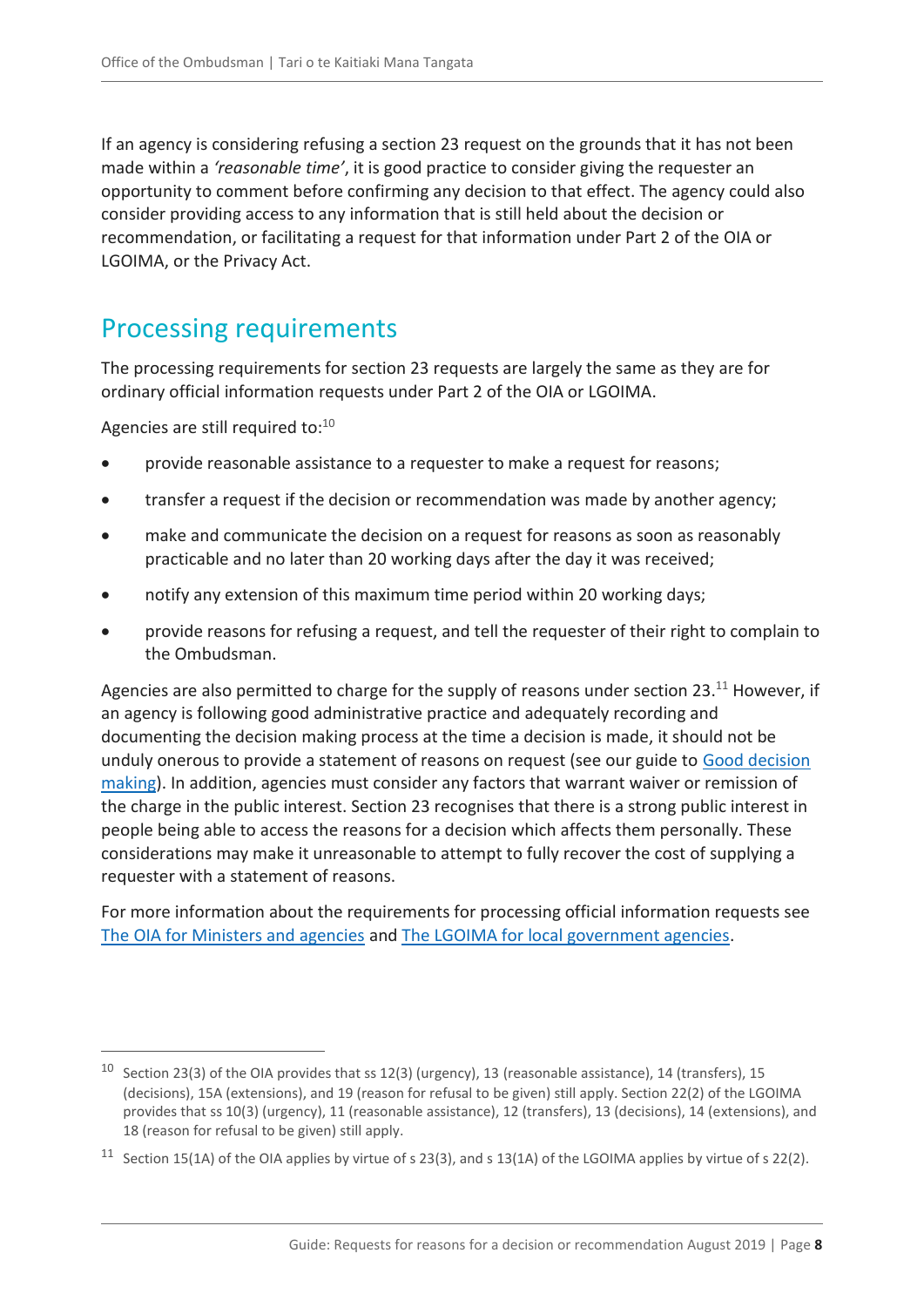If an agency is considering refusing a section 23 request on the grounds that it has not been made within a *'reasonable time'*, it is good practice to consider giving the requester an opportunity to comment before confirming any decision to that effect. The agency could also consider providing access to any information that is still held about the decision or recommendation, or facilitating a request for that information under Part 2 of the OIA or LGOIMA, or the Privacy Act.

# <span id="page-7-0"></span>Processing requirements

The processing requirements for section 23 requests are largely the same as they are for ordinary official information requests under Part 2 of the OIA or LGOIMA.

Agencies are still required to:<sup>10</sup>

 $\overline{a}$ 

- provide reasonable assistance to a requester to make a request for reasons;
- transfer a request if the decision or recommendation was made by another agency;
- make and communicate the decision on a request for reasons as soon as reasonably practicable and no later than 20 working days after the day it was received;
- notify any extension of this maximum time period within 20 working days;
- provide reasons for refusing a request, and tell the requester of their right to complain to the Ombudsman.

Agencies are also permitted to charge for the supply of reasons under section 23.<sup>11</sup> However, if an agency is following good administrative practice and adequately recording and documenting the decision making process at the time a decision is made, it should not be unduly onerous to provide a statement of reasons on request (see our guide to [Good decision](https://ombudsman.parliament.nz/resources/good-decision-making)  [making\)](https://ombudsman.parliament.nz/resources/good-decision-making). In addition, agencies must consider any factors that warrant waiver or remission of the charge in the public interest. Section 23 recognises that there is a strong public interest in people being able to access the reasons for a decision which affects them personally. These considerations may make it unreasonable to attempt to fully recover the cost of supplying a requester with a statement of reasons.

For more information about the requirements for processing official information requests see [The OIA for Ministers and agencies](https://ombudsman.parliament.nz/resources/oia-ministers-and-agencies-guide-processing-official-information-requests) and [The LGOIMA for local government agencies.](https://ombudsman.parliament.nz/resources/lgoima-local-government-agencies-guide-processing-requests-and-conducting-meetings)

<sup>&</sup>lt;sup>10</sup> Section 23(3) of the OIA provides that ss 12(3) (urgency), 13 (reasonable assistance), 14 (transfers), 15 (decisions), 15A (extensions), and 19 (reason for refusal to be given) still apply. Section 22(2) of the LGOIMA provides that ss 10(3) (urgency), 11 (reasonable assistance), 12 (transfers), 13 (decisions), 14 (extensions), and 18 (reason for refusal to be given) still apply.

<sup>&</sup>lt;sup>11</sup> Section 15(1A) of the OIA applies by virtue of s 23(3), and s 13(1A) of the LGOIMA applies by virtue of s 22(2).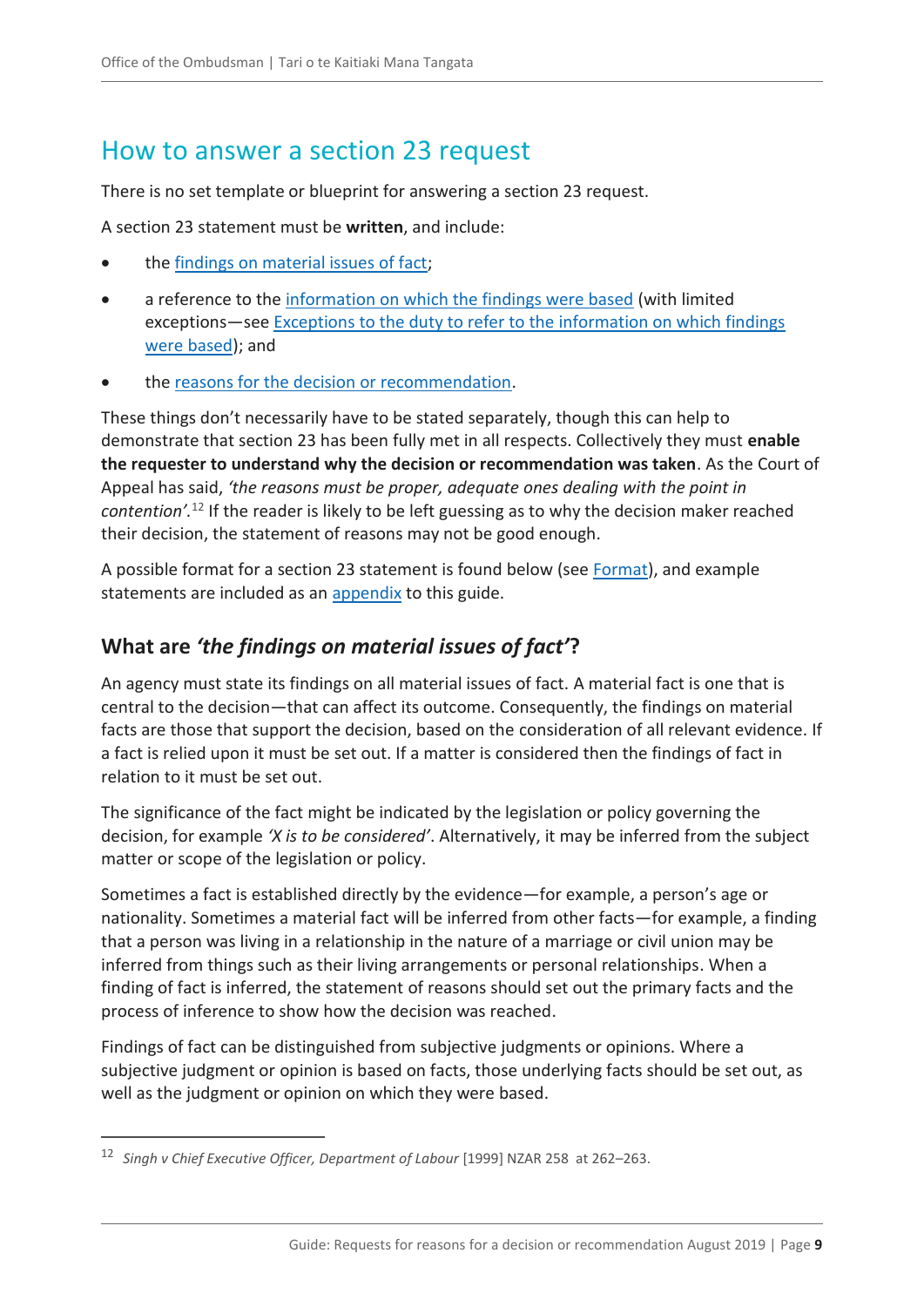# <span id="page-8-0"></span>How to answer a section 23 request

There is no set template or blueprint for answering a section 23 request.

A section 23 statement must be **written**, and include:

- the [findings on material issues of fact;](#page-8-1)
- a reference to the [information on which the findings were based](#page-9-0) (with limited exceptions—see [Exceptions to the duty to refer to the information on which findings](#page-15-0)  [were based\)](#page-15-0); and
- the [reasons for the decision or recommendation.](#page-9-1)

These things don't necessarily have to be stated separately, though this can help to demonstrate that section 23 has been fully met in all respects. Collectively they must **enable the requester to understand why the decision or recommendation was taken**. As the Court of Appeal has said, *'the reasons must be proper, adequate ones dealing with the point in contention'.*<sup>12</sup> If the reader is likely to be left guessing as to why the decision maker reached their decision, the statement of reasons may not be good enough.

A possible format for a section 23 statement is found below (see [Format\)](#page-10-1), and example statements are included as an [appendix](#page-20-0) to this guide.

### <span id="page-8-1"></span>**What are** *'the findings on material issues of fact'***?**

An agency must state its findings on all material issues of fact. A material fact is one that is central to the decision—that can affect its outcome. Consequently, the findings on material facts are those that support the decision, based on the consideration of all relevant evidence. If a fact is relied upon it must be set out. If a matter is considered then the findings of fact in relation to it must be set out.

The significance of the fact might be indicated by the legislation or policy governing the decision, for example *'X is to be considered'*. Alternatively, it may be inferred from the subject matter or scope of the legislation or policy.

Sometimes a fact is established directly by the evidence—for example, a person's age or nationality. Sometimes a material fact will be inferred from other facts—for example, a finding that a person was living in a relationship in the nature of a marriage or civil union may be inferred from things such as their living arrangements or personal relationships. When a finding of fact is inferred, the statement of reasons should set out the primary facts and the process of inference to show how the decision was reached.

Findings of fact can be distinguished from subjective judgments or opinions. Where a subjective judgment or opinion is based on facts, those underlying facts should be set out, as well as the judgment or opinion on which they were based.

<sup>12</sup> *Singh v Chief Executive Officer, Department of Labour* [1999] NZAR 258 at 262–263.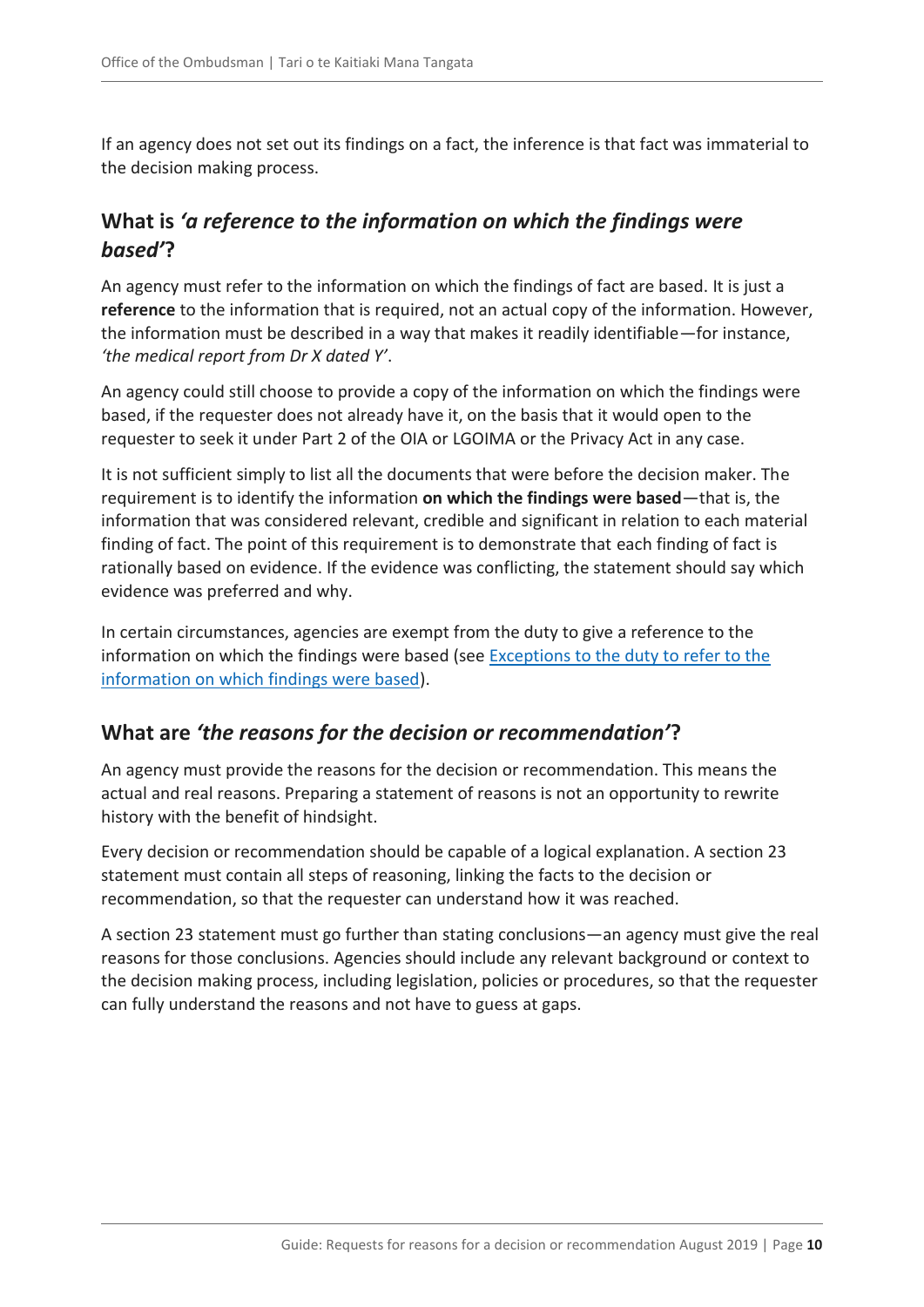If an agency does not set out its findings on a fact, the inference is that fact was immaterial to the decision making process.

# <span id="page-9-0"></span>**What is** *'a reference to the information on which the findings were based'***?**

An agency must refer to the information on which the findings of fact are based. It is just a **reference** to the information that is required, not an actual copy of the information. However, the information must be described in a way that makes it readily identifiable—for instance, *'the medical report from Dr X dated Y'*.

An agency could still choose to provide a copy of the information on which the findings were based, if the requester does not already have it, on the basis that it would open to the requester to seek it under Part 2 of the OIA or LGOIMA or the Privacy Act in any case.

It is not sufficient simply to list all the documents that were before the decision maker. The requirement is to identify the information **on which the findings were based**—that is, the information that was considered relevant, credible and significant in relation to each material finding of fact. The point of this requirement is to demonstrate that each finding of fact is rationally based on evidence. If the evidence was conflicting, the statement should say which evidence was preferred and why.

In certain circumstances, agencies are exempt from the duty to give a reference to the information on which the findings were based (see [Exceptions to the duty to refer to the](#page-15-0)  [information on which findings were based\)](#page-15-0).

#### <span id="page-9-1"></span>**What are** *'the reasons for the decision or recommendation'***?**

An agency must provide the reasons for the decision or recommendation. This means the actual and real reasons. Preparing a statement of reasons is not an opportunity to rewrite history with the benefit of hindsight.

Every decision or recommendation should be capable of a logical explanation. A section 23 statement must contain all steps of reasoning, linking the facts to the decision or recommendation, so that the requester can understand how it was reached.

A section 23 statement must go further than stating conclusions—an agency must give the real reasons for those conclusions. Agencies should include any relevant background or context to the decision making process, including legislation, policies or procedures, so that the requester can fully understand the reasons and not have to guess at gaps.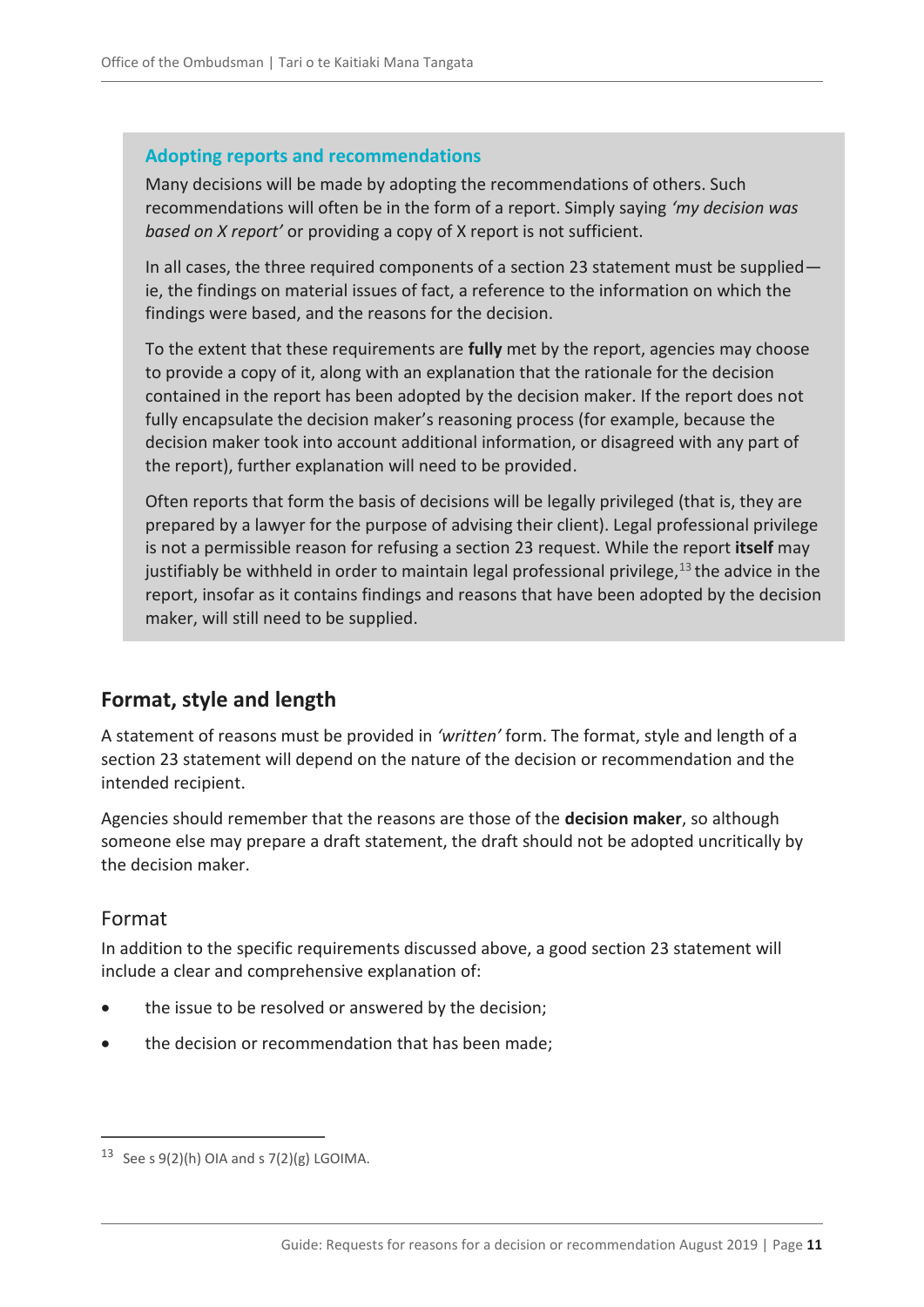#### <span id="page-10-2"></span>**Adopting reports and recommendations**

Many decisions will be made by adopting the recommendations of others. Such recommendations will often be in the form of a report. Simply saying *'my decision was based on X report'* or providing a copy of X report is not sufficient.

In all cases, the three required components of a section 23 statement must be supplied ie, the findings on material issues of fact, a reference to the information on which the findings were based, and the reasons for the decision.

To the extent that these requirements are **fully** met by the report, agencies may choose to provide a copy of it, along with an explanation that the rationale for the decision contained in the report has been adopted by the decision maker. If the report does not fully encapsulate the decision maker's reasoning process (for example, because the decision maker took into account additional information, or disagreed with any part of the report), further explanation will need to be provided.

Often reports that form the basis of decisions will be legally privileged (that is, they are prepared by a lawyer for the purpose of advising their client). Legal professional privilege is not a permissible [reason for refusing a section 23 request.](#page-13-0) While the report **itself** may justifiably be withheld in order to maintain legal professional privilege, $13$  the advice in the report, insofar as it contains findings and reasons that have been adopted by the decision maker, will still need to be supplied.

### <span id="page-10-0"></span>**Format, style and length**

A statement of reasons must be provided in *'written'* form. The format, style and length of a section 23 statement will depend on the nature of the decision or recommendation and the intended recipient.

Agencies should remember that the reasons are those of the **decision maker**, so although someone else may prepare a draft statement, the draft should not be adopted uncritically by the decision maker.

#### <span id="page-10-1"></span>Format

 $\overline{a}$ 

In addition to the specific requirements discussed above, a good section 23 statement will include a clear and comprehensive explanation of:

- the issue to be resolved or answered by the decision;
- the decision or recommendation that has been made;

<sup>&</sup>lt;sup>13</sup> See s  $9(2)(h)$  OIA and s  $7(2)(g)$  LGOIMA.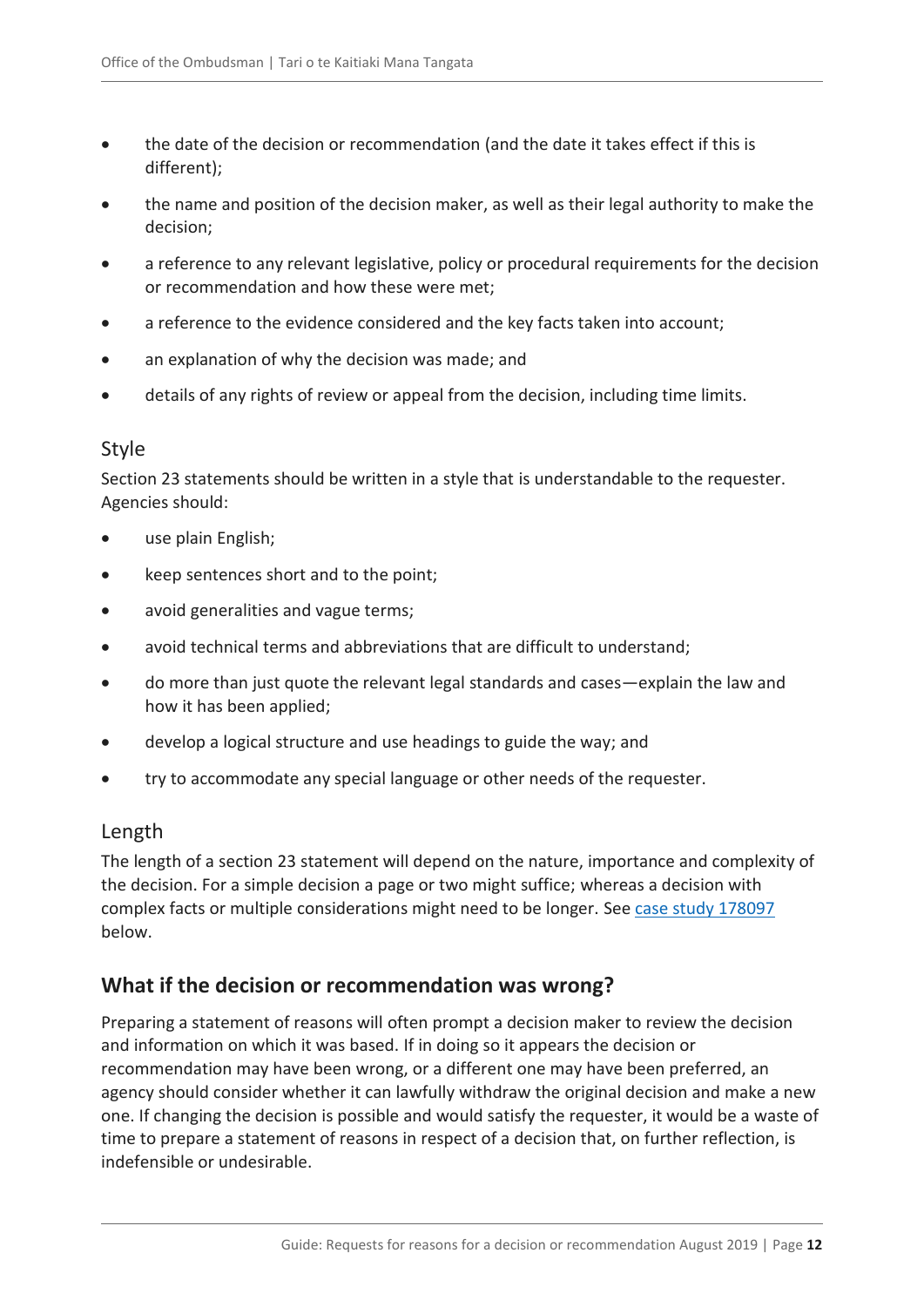- the date of the decision or recommendation (and the date it takes effect if this is different);
- the name and position of the decision maker, as well as their legal authority to make the decision;
- a reference to any relevant legislative, policy or procedural requirements for the decision or recommendation and how these were met;
- a reference to the evidence considered and the key facts taken into account;
- an explanation of why the decision was made; and
- details of any rights of review or appeal from the decision, including time limits.

#### <span id="page-11-0"></span>Style

Section 23 statements should be written in a style that is understandable to the requester. Agencies should:

- use plain English;
- keep sentences short and to the point;
- avoid generalities and vague terms;
- avoid technical terms and abbreviations that are difficult to understand;
- do more than just quote the relevant legal standards and cases—explain the law and how it has been applied;
- develop a logical structure and use headings to guide the way; and
- try to accommodate any special language or other needs of the requester.

#### <span id="page-11-1"></span>Length

The length of a section 23 statement will depend on the nature, importance and complexity of the decision. For a simple decision a page or two might suffice; whereas a decision with complex facts or multiple considerations might need to be longer. See [case study 178097](#page-13-0) below.

### <span id="page-11-2"></span>**What if the decision or recommendation was wrong?**

Preparing a statement of reasons will often prompt a decision maker to review the decision and information on which it was based. If in doing so it appears the decision or recommendation may have been wrong, or a different one may have been preferred, an agency should consider whether it can lawfully withdraw the original decision and make a new one. If changing the decision is possible and would satisfy the requester, it would be a waste of time to prepare a statement of reasons in respect of a decision that, on further reflection, is indefensible or undesirable.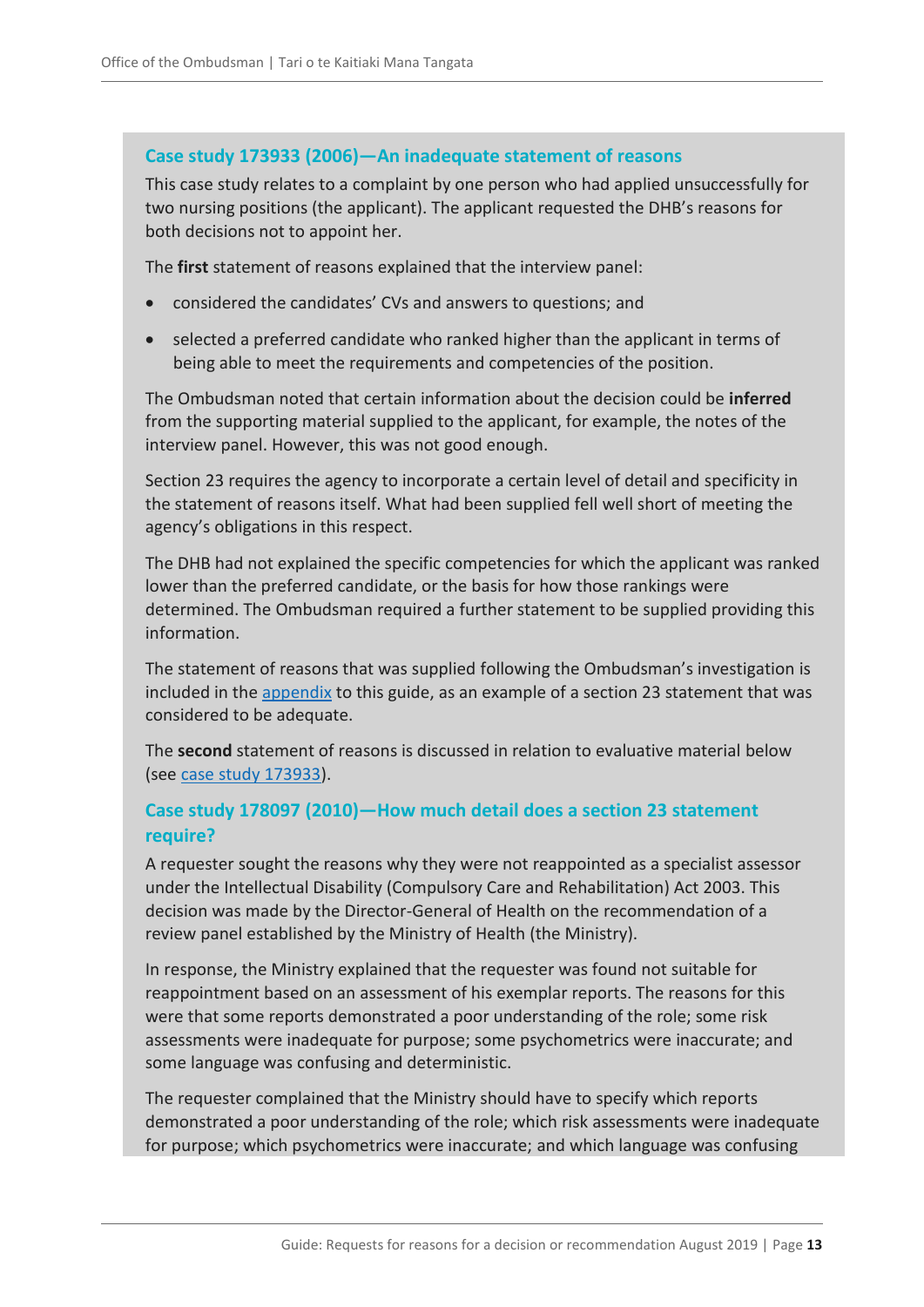#### <span id="page-12-0"></span>**Case study 173933 (2006)—An inadequate statement of reasons**

This case study relates to a complaint by one person who had applied unsuccessfully for two nursing positions (the applicant). The applicant requested the DHB's reasons for both decisions not to appoint her.

The **first** statement of reasons explained that the interview panel:

- considered the candidates' CVs and answers to questions; and
- selected a preferred candidate who ranked higher than the applicant in terms of being able to meet the requirements and competencies of the position.

The Ombudsman noted that certain information about the decision could be **inferred** from the supporting material supplied to the applicant, for example, the notes of the interview panel. However, this was not good enough.

Section 23 requires the agency to incorporate a certain level of detail and specificity in the statement of reasons itself. What had been supplied fell well short of meeting the agency's obligations in this respect.

The DHB had not explained the specific competencies for which the applicant was ranked lower than the preferred candidate, or the basis for how those rankings were determined. The Ombudsman required a further statement to be supplied providing this information.

The statement of reasons that was supplied following the Ombudsman's investigation is included in the [appendix](#page-20-0) to this guide, as an example of a section 23 statement that was considered to be adequate.

The **second** statement of reasons is discussed in relation to evaluative material below (see [case study 173933\)](#page-16-0).

#### **Case study 178097 (2010)—How much detail does a section 23 statement require?**

A requester sought the reasons why they were not reappointed as a specialist assessor under the Intellectual Disability (Compulsory Care and Rehabilitation) Act 2003. This decision was made by the Director-General of Health on the recommendation of a review panel established by the Ministry of Health (the Ministry).

In response, the Ministry explained that the requester was found not suitable for reappointment based on an assessment of his exemplar reports. The reasons for this were that some reports demonstrated a poor understanding of the role; some risk assessments were inadequate for purpose; some psychometrics were inaccurate; and some language was confusing and deterministic.

The requester complained that the Ministry should have to specify which reports demonstrated a poor understanding of the role; which risk assessments were inadequate for purpose; which psychometrics were inaccurate; and which language was confusing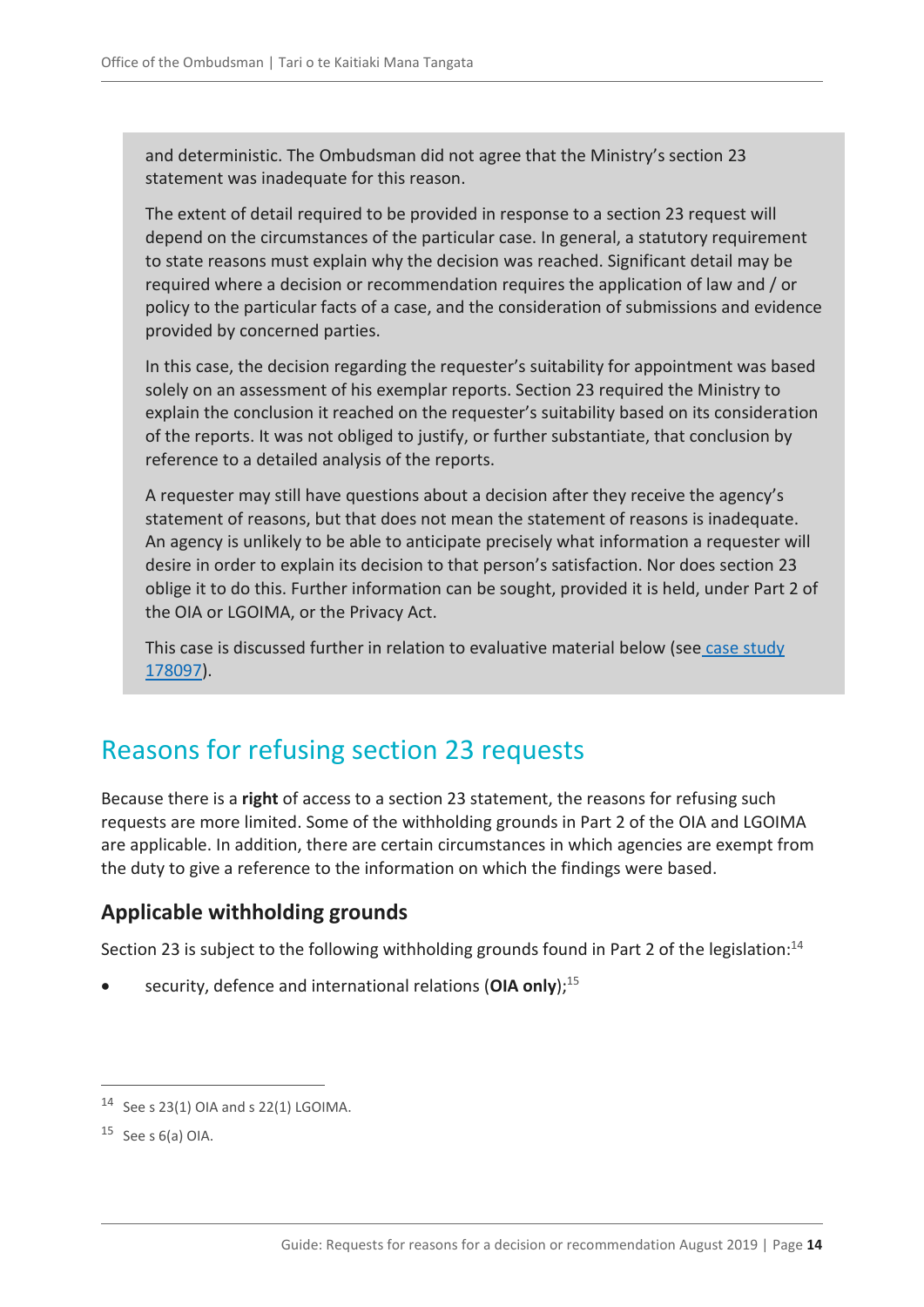and deterministic. The Ombudsman did not agree that the Ministry's section 23 statement was inadequate for this reason.

The extent of detail required to be provided in response to a section 23 request will depend on the circumstances of the particular case. In general, a statutory requirement to state reasons must explain why the decision was reached. Significant detail may be required where a decision or recommendation requires the application of law and / or policy to the particular facts of a case, and the consideration of submissions and evidence provided by concerned parties.

In this case, the decision regarding the requester's suitability for appointment was based solely on an assessment of his exemplar reports. Section 23 required the Ministry to explain the conclusion it reached on the requester's suitability based on its consideration of the reports. It was not obliged to justify, or further substantiate, that conclusion by reference to a detailed analysis of the reports.

A requester may still have questions about a decision after they receive the agency's statement of reasons, but that does not mean the statement of reasons is inadequate. An agency is unlikely to be able to anticipate precisely what information a requester will desire in order to explain its decision to that person's satisfaction. Nor does section 23 oblige it to do this. Further information can be sought, provided it is held, under Part 2 of the OIA or LGOIMA, or the Privacy Act.

This case is discussed further in relation to evaluative material below (see case study [178097\)](#page-18-0).

# <span id="page-13-0"></span>Reasons for refusing section 23 requests

Because there is a **right** of access to a section 23 statement, the reasons for refusing such requests are more limited. Some of the withholding grounds in Part 2 of the OIA and LGOIMA are applicable. In addition, there are certain circumstances in which agencies are exempt from the duty to give a reference to the information on which the findings were based.

### <span id="page-13-1"></span>**Applicable withholding grounds**

Section 23 is subject to the following withholding grounds found in Part 2 of the legislation:<sup>14</sup>

security, defence and international relations (OIA only);<sup>15</sup>

<sup>14</sup> See s 23(1) OIA and s 22(1) LGOIMA.

 $15$  See s 6(a) OIA.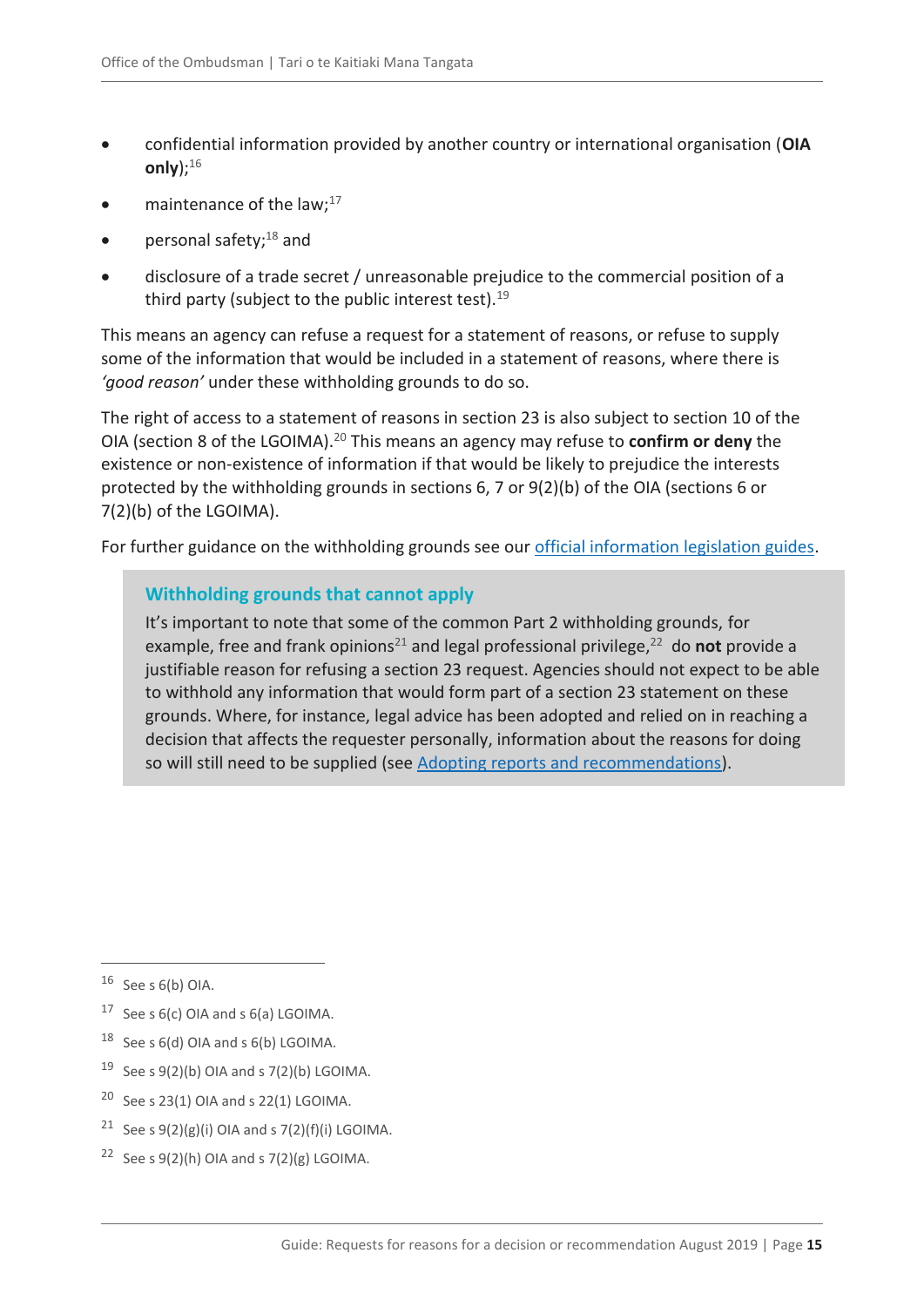- confidential information provided by another country or international organisation (**OIA only**);<sup>16</sup>
- maintenance of the law; $^{17}$
- personal safety;<sup>18</sup> and
- disclosure of a trade secret / unreasonable prejudice to the commercial position of a third party (subject to the public interest test). $19$

This means an agency can refuse a request for a statement of reasons, or refuse to supply some of the information that would be included in a statement of reasons, where there is *'good reason'* under these withholding grounds to do so.

The right of access to a statement of reasons in section 23 is also subject to section 10 of the OIA (section 8 of the LGOIMA).<sup>20</sup> This means an agency may refuse to **confirm or deny** the existence or non-existence of information if that would be likely to prejudice the interests protected by the withholding grounds in sections 6, 7 or 9(2)(b) of the OIA (sections 6 or 7(2)(b) of the LGOIMA).

For further guidance on the withholding grounds see our [official information legislation guides.](https://ombudsman.parliament.nz/resources?f%5B0%5D=category%3A2146)

#### **Withholding grounds that cannot apply**

It's important to note that some of the common Part 2 withholding grounds, for example, free and frank opinions<sup>21</sup> and legal professional privilege,<sup>22</sup> do not provide a justifiable reason for refusing a section 23 request. Agencies should not expect to be able to withhold any information that would form part of a section 23 statement on these grounds. Where, for instance, legal advice has been adopted and relied on in reaching a decision that affects the requester personally, information about the reasons for doing so will still need to be supplied (see [Adopting reports and recommendations\)](#page-10-2).

- <sup>19</sup> See s  $9(2)(b)$  OIA and s  $7(2)(b)$  LGOIMA.
- <sup>20</sup> See s 23(1) OIA and s 22(1) LGOIMA.
- <sup>21</sup> See s  $9(2)(g)(i)$  OIA and s  $7(2)(f)(i)$  LGOIMA.
- <sup>22</sup> See s  $9(2)(h)$  OIA and s  $7(2)(g)$  LGOIMA.

 $16$  See s 6(b) OIA.

<sup>&</sup>lt;sup>17</sup> See s  $6(c)$  OIA and s  $6(a)$  LGOIMA.

<sup>18</sup> See s 6(d) OIA and s 6(b) LGOIMA.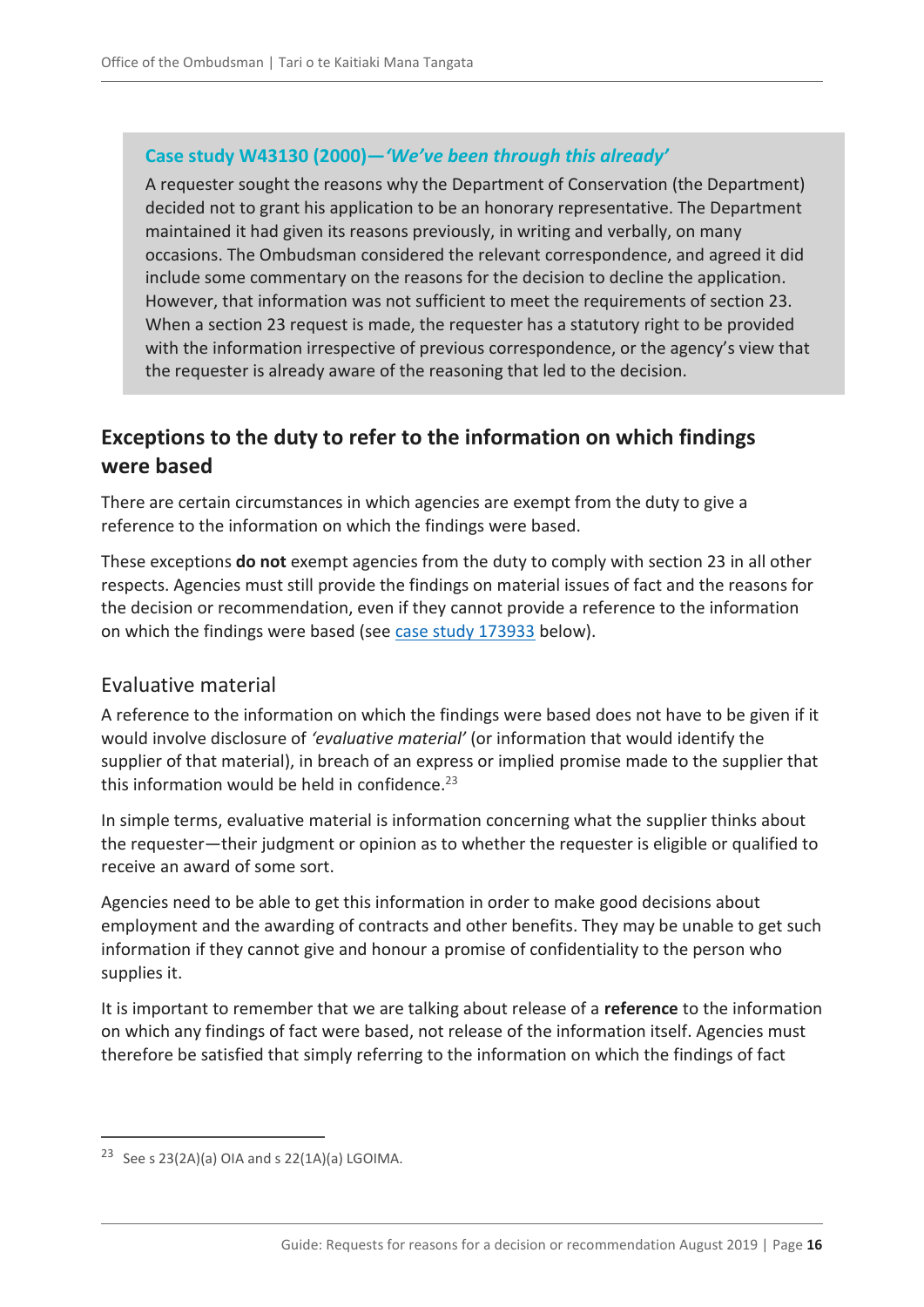#### **Case study W43130 (2000)—***'We've been through this already'*

A requester sought the reasons why the Department of Conservation (the Department) decided not to grant his application to be an honorary representative. The Department maintained it had given its reasons previously, in writing and verbally, on many occasions. The Ombudsman considered the relevant correspondence, and agreed it did include some commentary on the reasons for the decision to decline the application. However, that information was not sufficient to meet the requirements of section 23. When a section 23 request is made, the requester has a statutory right to be provided with the information irrespective of previous correspondence, or the agency's view that the requester is already aware of the reasoning that led to the decision.

# <span id="page-15-0"></span>**Exceptions to the duty to refer to the information on which findings were based**

There are certain circumstances in which agencies are exempt from the duty to give a reference to the information on which the findings were based.

These exceptions **do not** exempt agencies from the duty to comply with section 23 in all other respects. Agencies must still provide the findings on material issues of fact and the reasons for the decision or recommendation, even if they cannot provide a reference to the information on which the findings were based (see [case study 173933](#page-16-0) below).

#### <span id="page-15-1"></span>Evaluative material

A reference to the information on which the findings were based does not have to be given if it would involve disclosure of *'evaluative material'* (or information that would identify the supplier of that material), in breach of an express or implied promise made to the supplier that this information would be held in confidence.<sup>23</sup>

In simple terms, evaluative material is information concerning what the supplier thinks about the requester—their judgment or opinion as to whether the requester is eligible or qualified to receive an award of some sort.

Agencies need to be able to get this information in order to make good decisions about employment and the awarding of contracts and other benefits. They may be unable to get such information if they cannot give and honour a promise of confidentiality to the person who supplies it.

It is important to remember that we are talking about release of a **reference** to the information on which any findings of fact were based, not release of the information itself. Agencies must therefore be satisfied that simply referring to the information on which the findings of fact

<sup>&</sup>lt;sup>23</sup> See s 23(2A)(a) OIA and s 22(1A)(a) LGOIMA.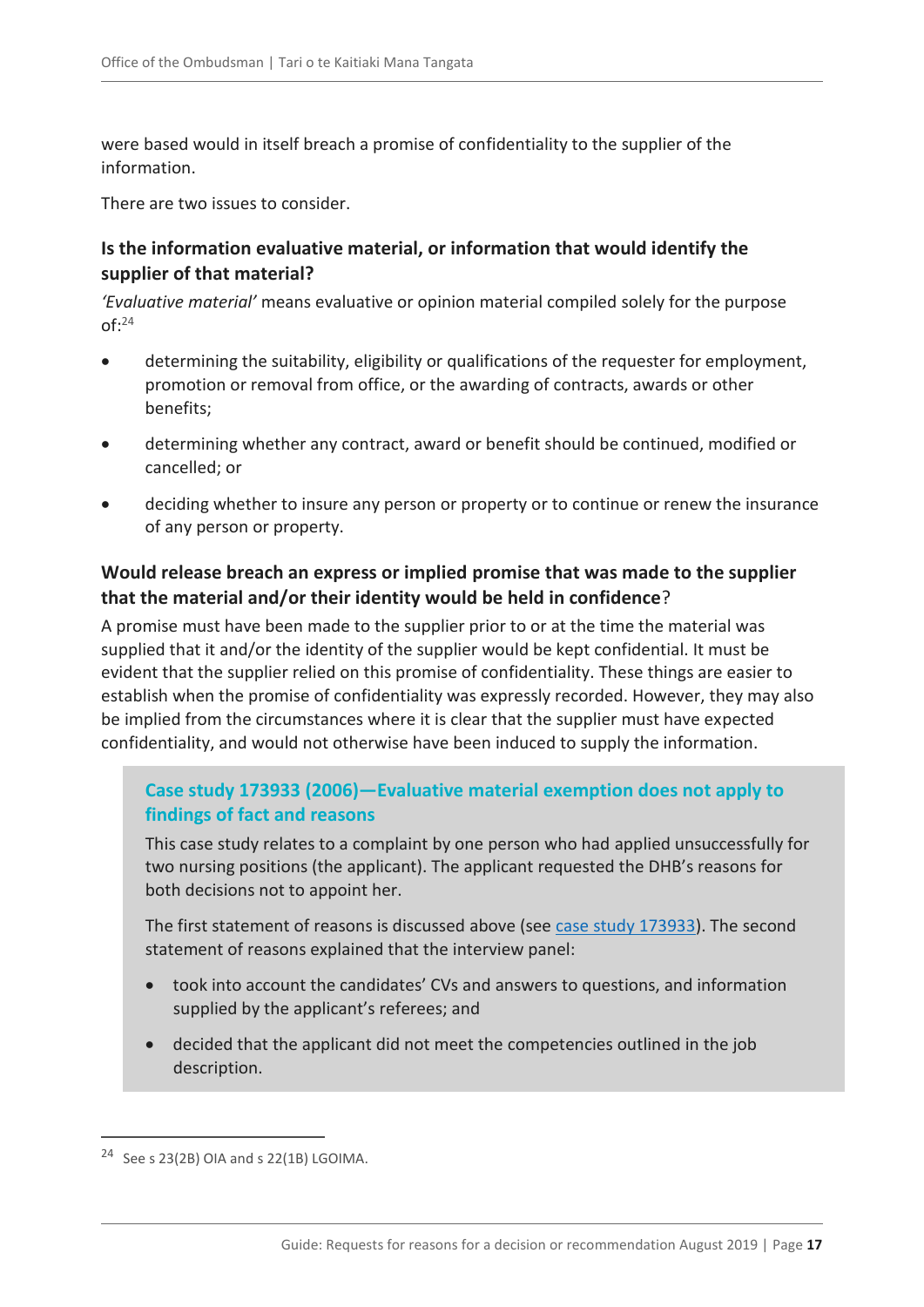were based would in itself breach a promise of confidentiality to the supplier of the information.

There are two issues to consider.

#### **Is the information evaluative material, or information that would identify the supplier of that material?**

*'Evaluative material'* means evaluative or opinion material compiled solely for the purpose  $of: <sup>24</sup>$ 

- determining the suitability, eligibility or qualifications of the requester for employment, promotion or removal from office, or the awarding of contracts, awards or other benefits;
- determining whether any contract, award or benefit should be continued, modified or cancelled; or
- deciding whether to insure any person or property or to continue or renew the insurance of any person or property.

#### **Would release breach an express or implied promise that was made to the supplier that the material and/or their identity would be held in confidence**?

A promise must have been made to the supplier prior to or at the time the material was supplied that it and/or the identity of the supplier would be kept confidential. It must be evident that the supplier relied on this promise of confidentiality. These things are easier to establish when the promise of confidentiality was expressly recorded. However, they may also be implied from the circumstances where it is clear that the supplier must have expected confidentiality, and would not otherwise have been induced to supply the information.

#### <span id="page-16-0"></span>**Case study 173933 (2006)—Evaluative material exemption does not apply to findings of fact and reasons**

This case study relates to a complaint by one person who had applied unsuccessfully for two nursing positions (the applicant). The applicant requested the DHB's reasons for both decisions not to appoint her.

The first statement of reasons is discussed above (see [case study 173933\)](#page-12-0). The second statement of reasons explained that the interview panel:

- took into account the candidates' CVs and answers to questions, and information supplied by the applicant's referees; and
- decided that the applicant did not meet the competencies outlined in the job description.

<sup>24</sup> See s 23(2B) OIA and s 22(1B) LGOIMA.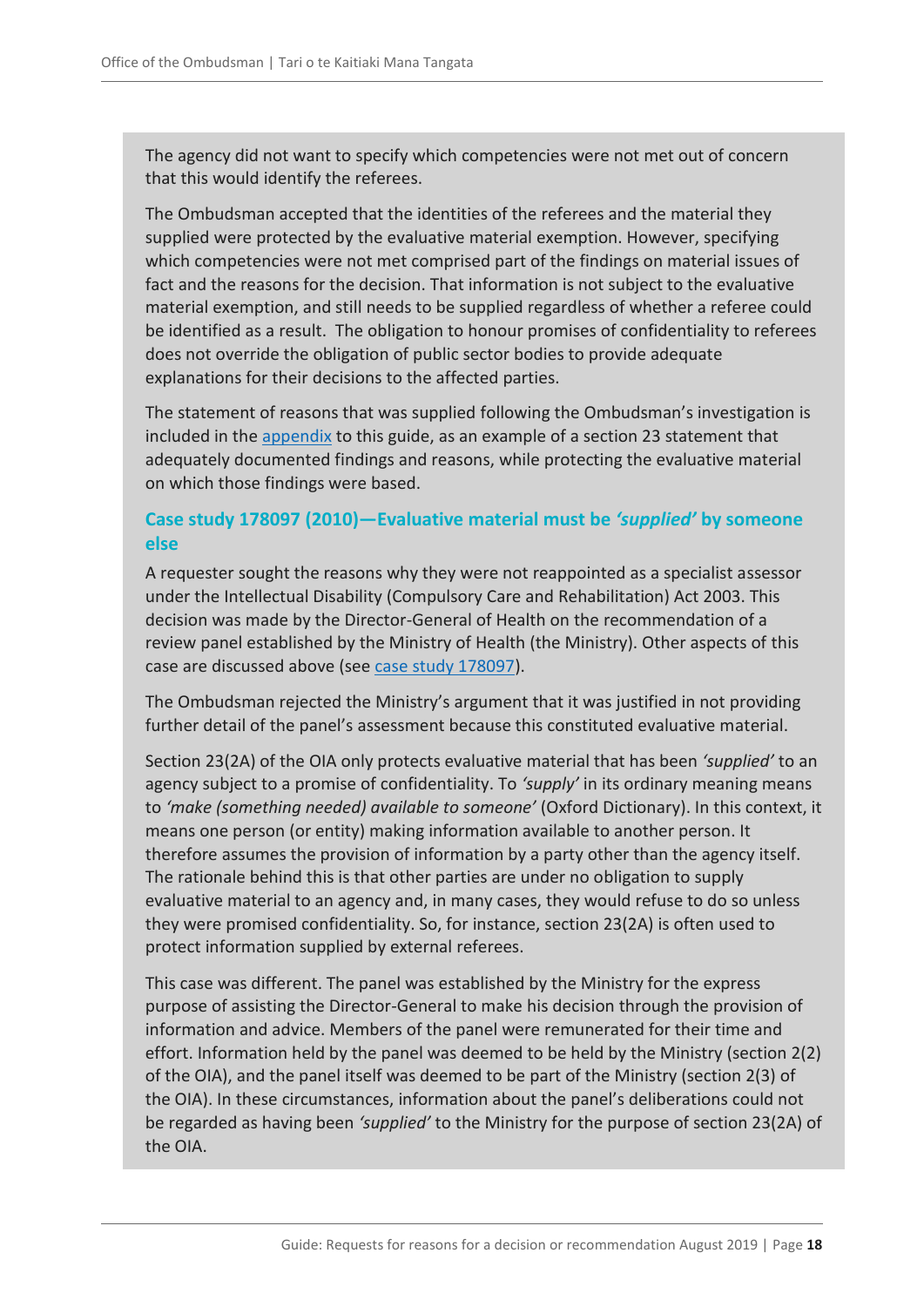The agency did not want to specify which competencies were not met out of concern that this would identify the referees.

The Ombudsman accepted that the identities of the referees and the material they supplied were protected by the evaluative material exemption. However, specifying which competencies were not met comprised part of the findings on material issues of fact and the reasons for the decision. That information is not subject to the evaluative material exemption, and still needs to be supplied regardless of whether a referee could be identified as a result. The obligation to honour promises of confidentiality to referees does not override the obligation of public sector bodies to provide adequate explanations for their decisions to the affected parties.

The statement of reasons that was supplied following the Ombudsman's investigation is included in the [appendix](#page-20-0) to this guide, as an example of a section 23 statement that adequately documented findings and reasons, while protecting the evaluative material on which those findings were based.

#### **Case study 178097 (2010)—Evaluative material must be** *'supplied'* **by someone else**

A requester sought the reasons why they were not reappointed as a specialist assessor under the Intellectual Disability (Compulsory Care and Rehabilitation) Act 2003. This decision was made by the Director-General of Health on the recommendation of a review panel established by the Ministry of Health (the Ministry). Other aspects of this case are discussed above (see [case study 178097\)](#page-13-0).

The Ombudsman rejected the Ministry's argument that it was justified in not providing further detail of the panel's assessment because this constituted evaluative material.

Section 23(2A) of the OIA only protects evaluative material that has been *'supplied'* to an agency subject to a promise of confidentiality. To *'supply'* in its ordinary meaning means to *'make (something needed) available to someone'* (Oxford Dictionary). In this context, it means one person (or entity) making information available to another person. It therefore assumes the provision of information by a party other than the agency itself. The rationale behind this is that other parties are under no obligation to supply evaluative material to an agency and, in many cases, they would refuse to do so unless they were promised confidentiality. So, for instance, section 23(2A) is often used to protect information supplied by external referees.

This case was different. The panel was established by the Ministry for the express purpose of assisting the Director-General to make his decision through the provision of information and advice. Members of the panel were remunerated for their time and effort. Information held by the panel was deemed to be held by the Ministry (section 2(2) of the OIA), and the panel itself was deemed to be part of the Ministry (section 2(3) of the OIA). In these circumstances, information about the panel's deliberations could not be regarded as having been *'supplied'* to the Ministry for the purpose of section 23(2A) of the OIA.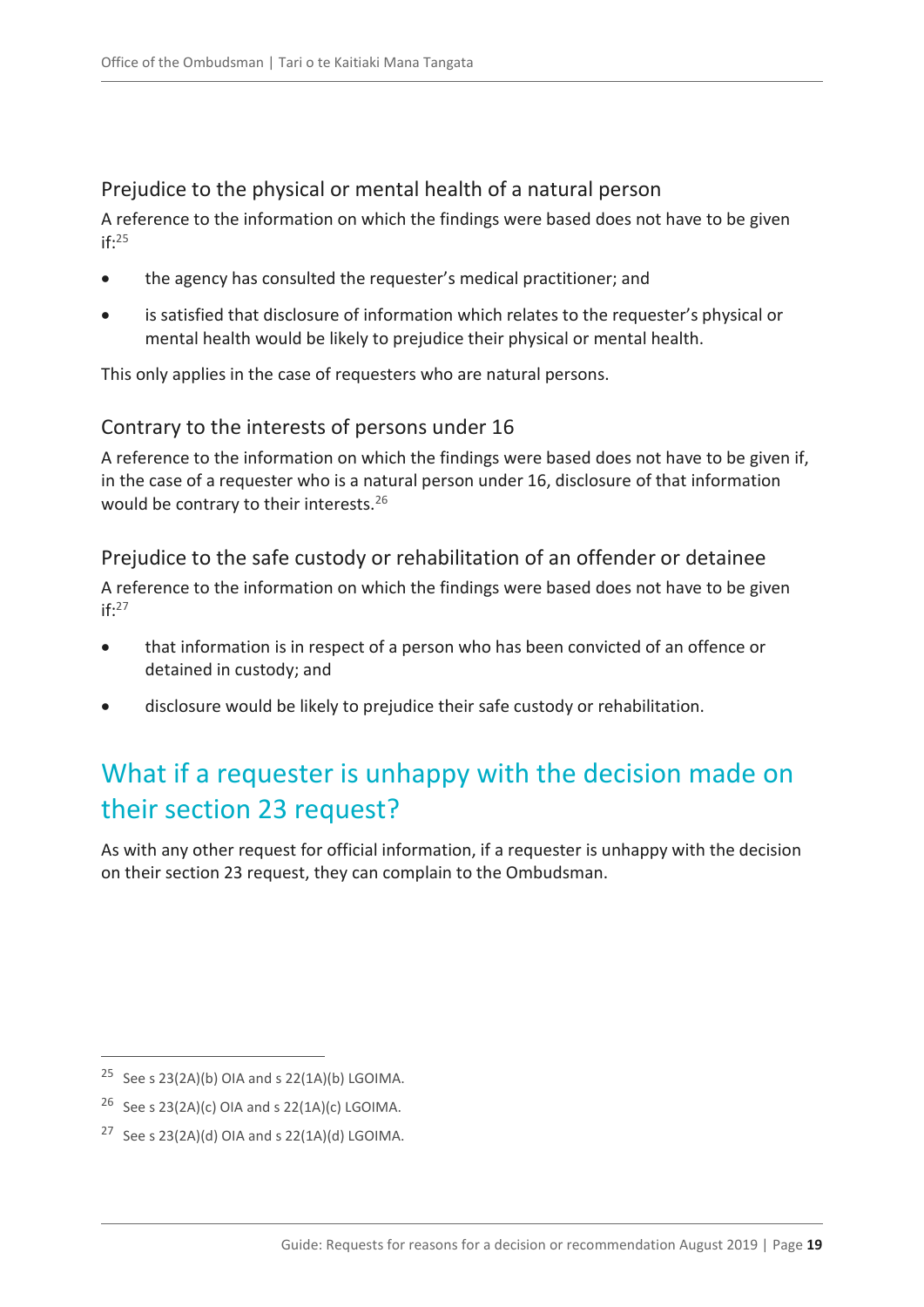### <span id="page-18-0"></span>Prejudice to the physical or mental health of a natural person

A reference to the information on which the findings were based does not have to be given  $if: <sup>25</sup>$ 

- the agency has consulted the requester's medical practitioner; and
- is satisfied that disclosure of information which relates to the requester's physical or mental health would be likely to prejudice their physical or mental health.

This only applies in the case of requesters who are natural persons.

### <span id="page-18-1"></span>Contrary to the interests of persons under 16

A reference to the information on which the findings were based does not have to be given if, in the case of a requester who is a natural person under 16, disclosure of that information would be contrary to their interests.<sup>26</sup>

### <span id="page-18-2"></span>Prejudice to the safe custody or rehabilitation of an offender or detainee

A reference to the information on which the findings were based does not have to be given  $if: <sup>27</sup>$ 

- that information is in respect of a person who has been convicted of an offence or detained in custody; and
- disclosure would be likely to prejudice their safe custody or rehabilitation.

# <span id="page-18-3"></span>What if a requester is unhappy with the decision made on their section 23 request?

As with any other request for official information, if a requester is unhappy with the decision on their section 23 request, they can complain to the Ombudsman.

<sup>&</sup>lt;sup>25</sup> See s 23(2A)(b) OIA and s 22(1A)(b) LGOIMA.

<sup>&</sup>lt;sup>26</sup> See s 23(2A)(c) OIA and s 22(1A)(c) LGOIMA.

<sup>&</sup>lt;sup>27</sup> See s 23(2A)(d) OIA and s 22(1A)(d) LGOIMA.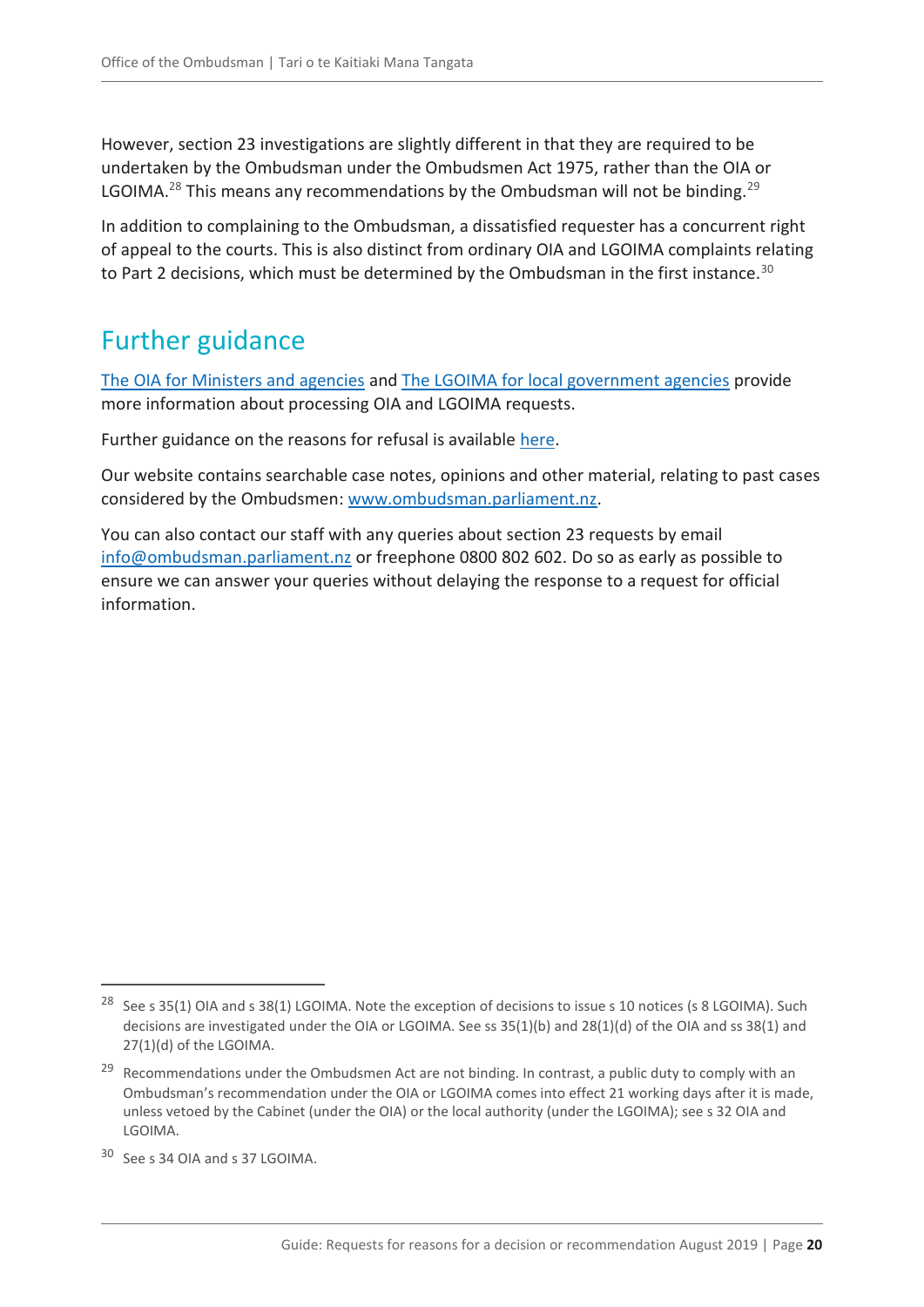However, section 23 investigations are slightly different in that they are required to be undertaken by the Ombudsman under the Ombudsmen Act 1975, rather than the OIA or LGOIMA.<sup>28</sup> This means any recommendations by the Ombudsman will not be binding.<sup>29</sup>

In addition to complaining to the Ombudsman, a dissatisfied requester has a concurrent right of appeal to the courts. This is also distinct from ordinary OIA and LGOIMA complaints relating to Part 2 decisions, which must be determined by the Ombudsman in the first instance.<sup>30</sup>

# <span id="page-19-0"></span>Further guidance

[The OIA for Ministers and agencies](https://ombudsman.parliament.nz/resources/oia-ministers-and-agencies-guide-processing-official-information-requests) and [The LGOIMA for local government agencies](https://ombudsman.parliament.nz/resources/lgoima-local-government-agencies-guide-processing-requests-and-conducting-meetings) provide more information about processing OIA and LGOIMA requests.

Further guidance on the reasons for refusal is available [here.](https://ombudsman.parliament.nz/resources?f%5B0%5D=category%3A2146)

Our website contains searchable case notes, opinions and other material, relating to past cases considered by the Ombudsmen: [www.ombudsman.parliament.nz.](http://www.ombudsman.parliament.nz/)

You can also contact our staff with any queries about section 23 requests by email [info@ombudsman.parliament.nz](mailto:info@ombudsman.parliament.nz) or freephone 0800 802 602. Do so as early as possible to ensure we can answer your queries without delaying the response to a request for official information.

<sup>&</sup>lt;sup>28</sup> See s 35(1) OIA and s 38(1) LGOIMA. Note the exception of decisions to issue s 10 notices (s 8 LGOIMA). Such decisions are investigated under the OIA or LGOIMA. See ss 35(1)(b) and 28(1)(d) of the OIA and ss 38(1) and 27(1)(d) of the LGOIMA.

<sup>&</sup>lt;sup>29</sup> Recommendations under the Ombudsmen Act are not binding. In contrast, a public duty to comply with an Ombudsman's recommendation under the OIA or LGOIMA comes into effect 21 working days after it is made, unless vetoed by the Cabinet (under the OIA) or the local authority (under the LGOIMA); see s 32 OIA and LGOIMA.

<sup>30</sup> See s 34 OIA and s 37 LGOIMA.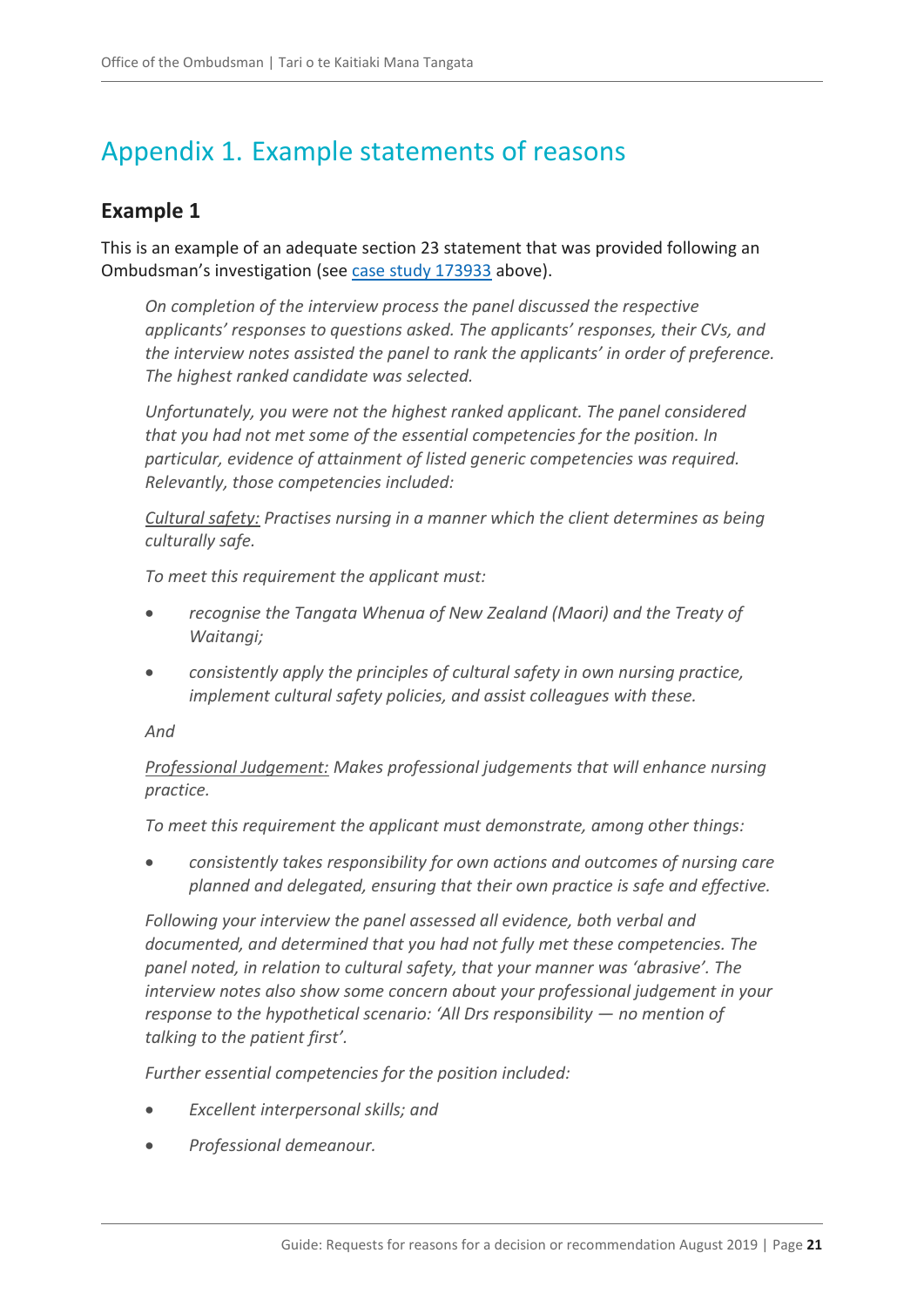# <span id="page-20-0"></span>Appendix 1. Example statements of reasons

### <span id="page-20-1"></span>**Example 1**

This is an example of an adequate section 23 statement that was provided following an Ombudsman's investigation (see [case study 173933](#page-12-0) above).

*On completion of the interview process the panel discussed the respective applicants' responses to questions asked. The applicants' responses, their CVs, and the interview notes assisted the panel to rank the applicants' in order of preference. The highest ranked candidate was selected.* 

*Unfortunately, you were not the highest ranked applicant. The panel considered that you had not met some of the essential competencies for the position. In particular, evidence of attainment of listed generic competencies was required. Relevantly, those competencies included:*

*Cultural safety: Practises nursing in a manner which the client determines as being culturally safe.*

*To meet this requirement the applicant must:*

- *recognise the Tangata Whenua of New Zealand (Maori) and the Treaty of Waitangi;*
- *consistently apply the principles of cultural safety in own nursing practice, implement cultural safety policies, and assist colleagues with these.*

#### *And*

*Professional Judgement: Makes professional judgements that will enhance nursing practice.*

*To meet this requirement the applicant must demonstrate, among other things:*

 *consistently takes responsibility for own actions and outcomes of nursing care planned and delegated, ensuring that their own practice is safe and effective.*

*Following your interview the panel assessed all evidence, both verbal and documented, and determined that you had not fully met these competencies. The panel noted, in relation to cultural safety, that your manner was 'abrasive'. The interview notes also show some concern about your professional judgement in your response to the hypothetical scenario: 'All Drs responsibility — no mention of talking to the patient first'.*

*Further essential competencies for the position included:*

- *Excellent interpersonal skills; and*
- *Professional demeanour.*